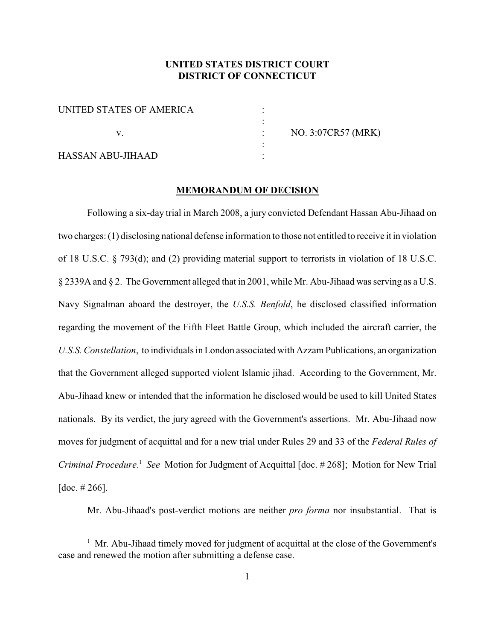# **UNITED STATES DISTRICT COURT DISTRICT OF CONNECTICUT**

| UNITED STATES OF AMERICA |  |
|--------------------------|--|
|                          |  |
|                          |  |
|                          |  |
| <b>HASSAN ABU-JIHAAD</b> |  |

v. : NO. 3:07CR57 (MRK)

#### **MEMORANDUM OF DECISION**

Following a six-day trial in March 2008, a jury convicted Defendant Hassan Abu-Jihaad on two charges: (1) disclosing national defense information to those not entitled to receive it in violation of 18 U.S.C. § 793(d); and (2) providing material support to terrorists in violation of 18 U.S.C. § 2339A and § 2. The Government alleged that in 2001, while Mr. Abu-Jihaad was serving as a U.S. Navy Signalman aboard the destroyer, the *U.S.S. Benfold*, he disclosed classified information regarding the movement of the Fifth Fleet Battle Group, which included the aircraft carrier, the *U.S.S. Constellation*, to individuals in London associated with Azzam Publications, an organization that the Government alleged supported violent Islamic jihad. According to the Government, Mr. Abu-Jihaad knew or intended that the information he disclosed would be used to kill United States nationals. By its verdict, the jury agreed with the Government's assertions. Mr. Abu-Jihaad now moves for judgment of acquittal and for a new trial under Rules 29 and 33 of the *Federal Rules of Criminal Procedure*.<sup>1</sup> *See* Motion for Judgment of Acquittal [doc. # 268]; Motion for New Trial [doc.  $\# 266$ ].

Mr. Abu-Jihaad's post-verdict motions are neither *pro forma* nor insubstantial. That is

 $<sup>1</sup>$  Mr. Abu-Jihaad timely moved for judgment of acquittal at the close of the Government's</sup> case and renewed the motion after submitting a defense case.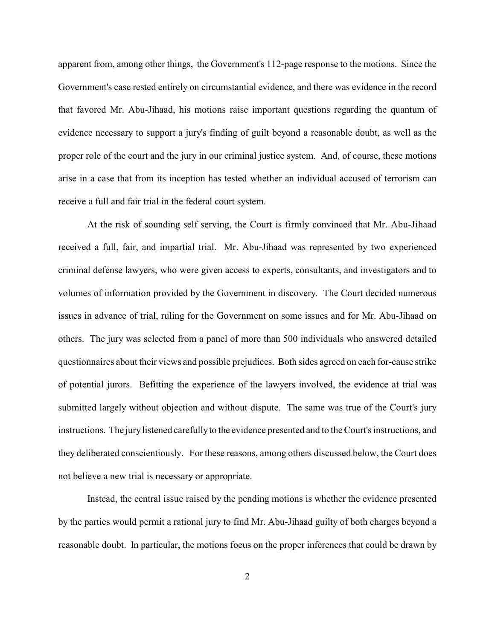apparent from, among other things, the Government's 112-page response to the motions. Since the Government's case rested entirely on circumstantial evidence, and there was evidence in the record that favored Mr. Abu-Jihaad, his motions raise important questions regarding the quantum of evidence necessary to support a jury's finding of guilt beyond a reasonable doubt, as well as the proper role of the court and the jury in our criminal justice system. And, of course, these motions arise in a case that from its inception has tested whether an individual accused of terrorism can receive a full and fair trial in the federal court system.

At the risk of sounding self serving, the Court is firmly convinced that Mr. Abu-Jihaad received a full, fair, and impartial trial. Mr. Abu-Jihaad was represented by two experienced criminal defense lawyers, who were given access to experts, consultants, and investigators and to volumes of information provided by the Government in discovery. The Court decided numerous issues in advance of trial, ruling for the Government on some issues and for Mr. Abu-Jihaad on others. The jury was selected from a panel of more than 500 individuals who answered detailed questionnaires about their views and possible prejudices. Both sides agreed on each for-cause strike of potential jurors. Befitting the experience of the lawyers involved, the evidence at trial was submitted largely without objection and without dispute. The same was true of the Court's jury instructions. The jurylistened carefullyto the evidence presented and to the Court's instructions, and they deliberated conscientiously. For these reasons, among others discussed below, the Court does not believe a new trial is necessary or appropriate.

Instead, the central issue raised by the pending motions is whether the evidence presented by the parties would permit a rational jury to find Mr. Abu-Jihaad guilty of both charges beyond a reasonable doubt. In particular, the motions focus on the proper inferences that could be drawn by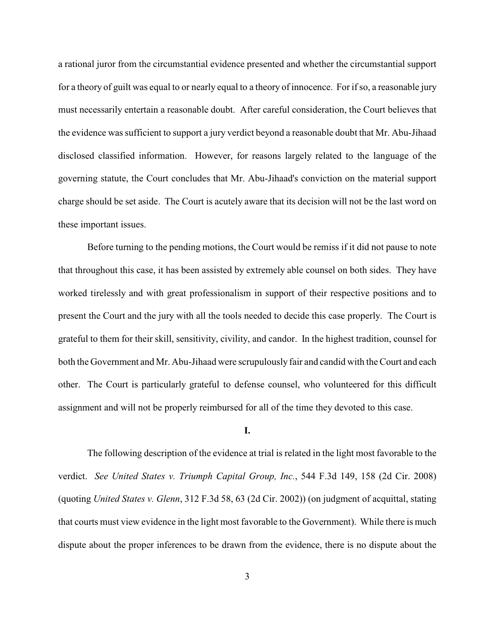a rational juror from the circumstantial evidence presented and whether the circumstantial support for a theory of guilt was equal to or nearly equal to a theory of innocence. For if so, a reasonable jury must necessarily entertain a reasonable doubt. After careful consideration, the Court believes that the evidence was sufficient to support a jury verdict beyond a reasonable doubt that Mr. Abu-Jihaad disclosed classified information. However, for reasons largely related to the language of the governing statute, the Court concludes that Mr. Abu-Jihaad's conviction on the material support charge should be set aside. The Court is acutely aware that its decision will not be the last word on these important issues.

Before turning to the pending motions, the Court would be remiss if it did not pause to note that throughout this case, it has been assisted by extremely able counsel on both sides. They have worked tirelessly and with great professionalism in support of their respective positions and to present the Court and the jury with all the tools needed to decide this case properly. The Court is grateful to them for their skill, sensitivity, civility, and candor. In the highest tradition, counsel for both the Government and Mr. Abu-Jihaad were scrupulously fair and candid with the Court and each other. The Court is particularly grateful to defense counsel, who volunteered for this difficult assignment and will not be properly reimbursed for all of the time they devoted to this case.

### **I.**

The following description of the evidence at trial is related in the light most favorable to the verdict. *See United States v. Triumph Capital Group, Inc.*, 544 F.3d 149, 158 (2d Cir. 2008) (quoting *United States v. Glenn*, 312 F.3d 58, 63 (2d Cir. 2002)) (on judgment of acquittal, stating that courts must view evidence in the light most favorable to the Government). While there is much dispute about the proper inferences to be drawn from the evidence, there is no dispute about the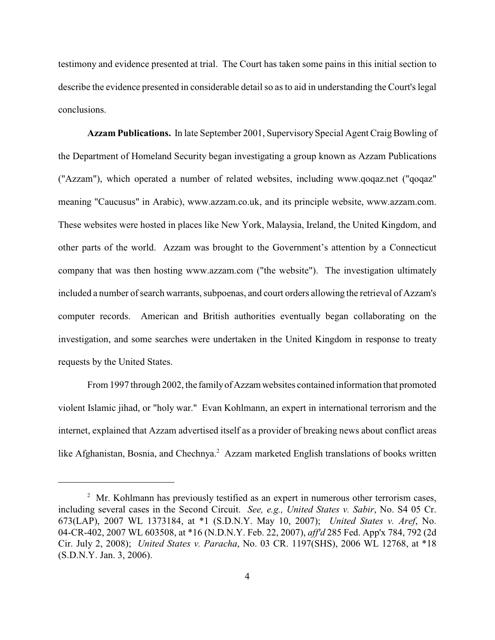testimony and evidence presented at trial. The Court has taken some pains in this initial section to describe the evidence presented in considerable detail so as to aid in understanding the Court's legal conclusions.

**Azzam Publications.** In late September 2001, Supervisory Special Agent Craig Bowling of the Department of Homeland Security began investigating a group known as Azzam Publications ("Azzam"), which operated a number of related websites, including www.qoqaz.net ("qoqaz" meaning "Caucusus" in Arabic), www.azzam.co.uk, and its principle website, www.azzam.com. These websites were hosted in places like New York, Malaysia, Ireland, the United Kingdom, and other parts of the world. Azzam was brought to the Government's attention by a Connecticut company that was then hosting www.azzam.com ("the website"). The investigation ultimately included a number of search warrants, subpoenas, and court orders allowing the retrieval of Azzam's computer records. American and British authorities eventually began collaborating on the investigation, and some searches were undertaken in the United Kingdom in response to treaty requests by the United States.

From 1997 through 2002, the family of Azzam websites contained information that promoted violent Islamic jihad, or "holy war." Evan Kohlmann, an expert in international terrorism and the internet, explained that Azzam advertised itself as a provider of breaking news about conflict areas like Afghanistan, Bosnia, and Chechnya.<sup>2</sup> Azzam marketed English translations of books written

 $\mu$ <sup>2</sup> Mr. Kohlmann has previously testified as an expert in numerous other terrorism cases, including several cases in the Second Circuit. *See, e.g., United States v. Sabir*, No. S4 05 Cr. 673(LAP), 2007 WL 1373184, at \*1 (S.D.N.Y. May 10, 2007); *United States v. Aref*, No. 04-CR-402, 2007 WL 603508, at \*16 (N.D.N.Y. Feb. 22, 2007), *aff'd* 285 Fed. App'x 784, 792 (2d Cir. July 2, 2008); *United States v. Paracha*, No. 03 CR. 1197(SHS), 2006 WL 12768, at \*18 (S.D.N.Y. Jan. 3, 2006).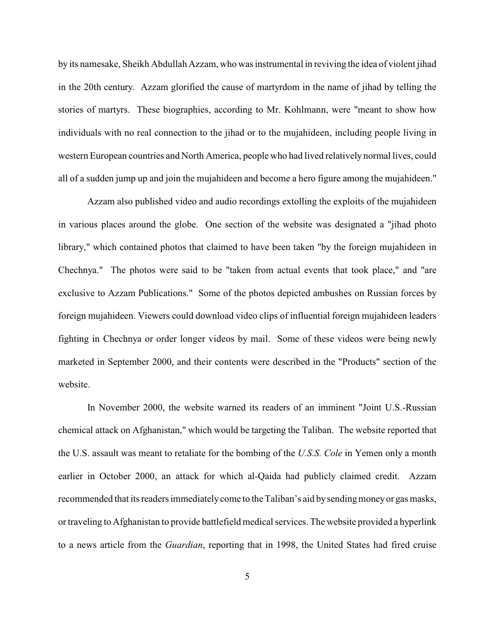by its namesake, Sheikh Abdullah Azzam, who was instrumental in reviving the idea of violent jihad in the 20th century. Azzam glorified the cause of martyrdom in the name of jihad by telling the stories of martyrs. These biographies, according to Mr. Kohlmann, were "meant to show how individuals with no real connection to the jihad or to the mujahideen, including people living in western European countries and North America, people who had lived relatively normal lives, could all of a sudden jump up and join the mujahideen and become a hero figure among the mujahideen."

Azzam also published video and audio recordings extolling the exploits of the mujahideen in various places around the globe. One section of the website was designated a "jihad photo library," which contained photos that claimed to have been taken "by the foreign mujahideen in Chechnya." The photos were said to be "taken from actual events that took place," and "are exclusive to Azzam Publications." Some of the photos depicted ambushes on Russian forces by foreign mujahideen. Viewers could download video clips of influential foreign mujahideen leaders fighting in Chechnya or order longer videos by mail. Some of these videos were being newly marketed in September 2000, and their contents were described in the "Products" section of the website.

In November 2000, the website warned its readers of an imminent "Joint U.S.-Russian chemical attack on Afghanistan," which would be targeting the Taliban. The website reported that the U.S. assault was meant to retaliate for the bombing of the *U.S.S. Cole* in Yemen only a month earlier in October 2000, an attack for which al-Qaida had publicly claimed credit. Azzam recommended that its readers immediately come to the Taliban's aid by sending money or gas masks, or traveling to Afghanistan to provide battlefield medical services. The website provided a hyperlink to a news article from the *Guardian*, reporting that in 1998, the United States had fired cruise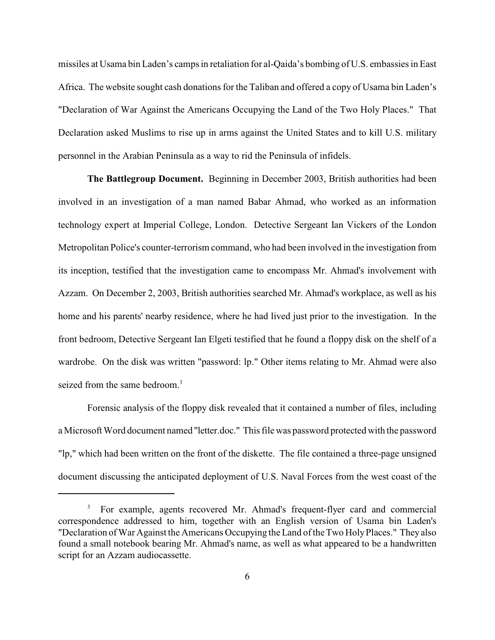missiles at Usama bin Laden's camps in retaliation for al-Qaida's bombing of U.S. embassies in East Africa. The website sought cash donations for the Taliban and offered a copy of Usama bin Laden's "Declaration of War Against the Americans Occupying the Land of the Two Holy Places." That Declaration asked Muslims to rise up in arms against the United States and to kill U.S. military personnel in the Arabian Peninsula as a way to rid the Peninsula of infidels.

**The Battlegroup Document.** Beginning in December 2003, British authorities had been involved in an investigation of a man named Babar Ahmad, who worked as an information technology expert at Imperial College, London. Detective Sergeant Ian Vickers of the London Metropolitan Police's counter-terrorism command, who had been involved in the investigation from its inception, testified that the investigation came to encompass Mr. Ahmad's involvement with Azzam. On December 2, 2003, British authorities searched Mr. Ahmad's workplace, as well as his home and his parents' nearby residence, where he had lived just prior to the investigation. In the front bedroom, Detective Sergeant Ian Elgeti testified that he found a floppy disk on the shelf of a wardrobe. On the disk was written "password: lp." Other items relating to Mr. Ahmad were also seized from the same bedroom.<sup>3</sup>

Forensic analysis of the floppy disk revealed that it contained a number of files, including a Microsoft Word document named "letter.doc." This file was password protected with the password "lp," which had been written on the front of the diskette. The file contained a three-page unsigned document discussing the anticipated deployment of U.S. Naval Forces from the west coast of the

<sup>&</sup>lt;sup>3</sup> For example, agents recovered Mr. Ahmad's frequent-flyer card and commercial correspondence addressed to him, together with an English version of Usama bin Laden's "Declaration of War Against the Americans Occupying theLand ofthe Two Holy Places." They also found a small notebook bearing Mr. Ahmad's name, as well as what appeared to be a handwritten script for an Azzam audiocassette.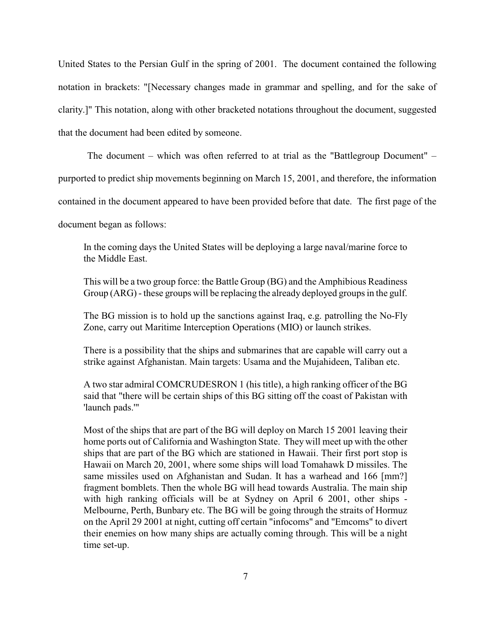United States to the Persian Gulf in the spring of 2001. The document contained the following notation in brackets: "[Necessary changes made in grammar and spelling, and for the sake of clarity.]" This notation, along with other bracketed notations throughout the document, suggested that the document had been edited by someone.

The document – which was often referred to at trial as the "Battlegroup Document" –

purported to predict ship movements beginning on March 15, 2001, and therefore, the information

contained in the document appeared to have been provided before that date. The first page of the

document began as follows:

In the coming days the United States will be deploying a large naval/marine force to the Middle East.

This will be a two group force: the Battle Group (BG) and the Amphibious Readiness Group (ARG) - these groups will be replacing the already deployed groups in the gulf.

The BG mission is to hold up the sanctions against Iraq, e.g. patrolling the No-Fly Zone, carry out Maritime Interception Operations (MIO) or launch strikes.

There is a possibility that the ships and submarines that are capable will carry out a strike against Afghanistan. Main targets: Usama and the Mujahideen, Taliban etc.

A two star admiral COMCRUDESRON 1 (his title), a high ranking officer of the BG said that "there will be certain ships of this BG sitting off the coast of Pakistan with 'launch pads.'"

Most of the ships that are part of the BG will deploy on March 15 2001 leaving their home ports out of California and Washington State. They will meet up with the other ships that are part of the BG which are stationed in Hawaii. Their first port stop is Hawaii on March 20, 2001, where some ships will load Tomahawk D missiles. The same missiles used on Afghanistan and Sudan. It has a warhead and 166 [mm?] fragment bomblets. Then the whole BG will head towards Australia. The main ship with high ranking officials will be at Sydney on April 6 2001, other ships - Melbourne, Perth, Bunbary etc. The BG will be going through the straits of Hormuz on the April 29 2001 at night, cutting off certain "infocoms" and "Emcoms" to divert their enemies on how many ships are actually coming through. This will be a night time set-up.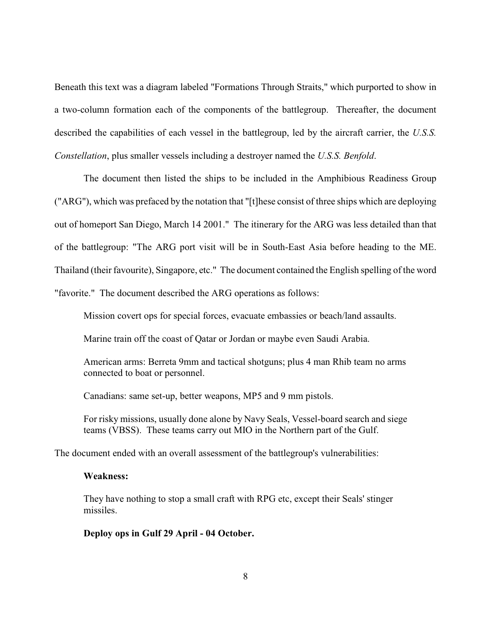Beneath this text was a diagram labeled "Formations Through Straits," which purported to show in a two-column formation each of the components of the battlegroup. Thereafter, the document described the capabilities of each vessel in the battlegroup, led by the aircraft carrier, the *U.S.S. Constellation*, plus smaller vessels including a destroyer named the *U.S.S. Benfold*.

The document then listed the ships to be included in the Amphibious Readiness Group ("ARG"), which was prefaced by the notation that "[t]hese consist of three ships which are deploying out of homeport San Diego, March 14 2001." The itinerary for the ARG was less detailed than that of the battlegroup: "The ARG port visit will be in South-East Asia before heading to the ME. Thailand (their favourite), Singapore, etc." The document contained the English spelling of the word "favorite." The document described the ARG operations as follows:

Mission covert ops for special forces, evacuate embassies or beach/land assaults.

Marine train off the coast of Qatar or Jordan or maybe even Saudi Arabia.

American arms: Berreta 9mm and tactical shotguns; plus 4 man Rhib team no arms connected to boat or personnel.

Canadians: same set-up, better weapons, MP5 and 9 mm pistols.

For risky missions, usually done alone by Navy Seals, Vessel-board search and siege teams (VBSS). These teams carry out MIO in the Northern part of the Gulf.

The document ended with an overall assessment of the battlegroup's vulnerabilities:

## **Weakness:**

They have nothing to stop a small craft with RPG etc, except their Seals' stinger missiles.

**Deploy ops in Gulf 29 April - 04 October.**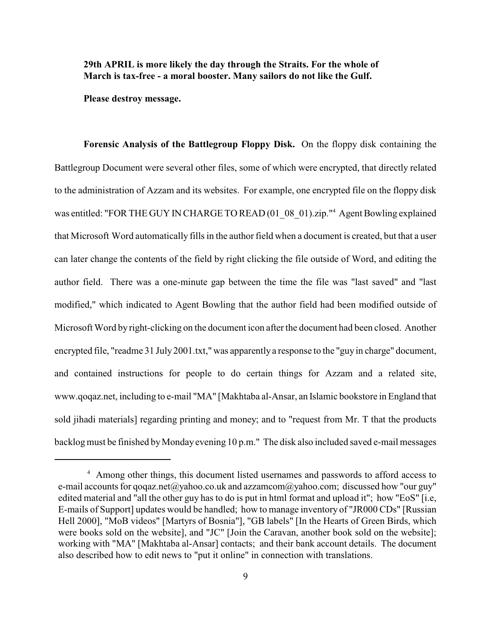**29th APRIL is more likely the day through the Straits. For the whole of March is tax-free - a moral booster. Many sailors do not like the Gulf.**

**Please destroy message.**

**Forensic Analysis of the Battlegroup Floppy Disk.** On the floppy disk containing the Battlegroup Document were several other files, some of which were encrypted, that directly related to the administration of Azzam and its websites. For example, one encrypted file on the floppy disk was entitled: "FOR THE GUY IN CHARGE TO READ (01–08–01).zip."<sup>4</sup> Agent Bowling explained that Microsoft Word automatically fills in the author field when a document is created, but that a user can later change the contents of the field by right clicking the file outside of Word, and editing the author field. There was a one-minute gap between the time the file was "last saved" and "last modified," which indicated to Agent Bowling that the author field had been modified outside of Microsoft Word by right-clicking on the document icon after the document had been closed. Another encrypted file, "readme 31 July 2001.txt," was apparently a response to the "guy in charge" document, and contained instructions for people to do certain things for Azzam and a related site, www.qoqaz.net, including to e-mail "MA" [Makhtaba al-Ansar, an Islamic bookstore in England that sold jihadi materials] regarding printing and money; and to "request from Mr. T that the products backlog must be finished by Monday evening 10 p.m." The disk also included saved e-mail messages

<sup>&</sup>lt;sup>4</sup> Among other things, this document listed usernames and passwords to afford access to e-mail accounts for qoqaz.net@yahoo.co.uk and azzamcom@yahoo.com; discussed how "our guy" edited material and "all the other guy has to do is put in html format and upload it"; how "EoS" [i.e, E-mails of Support] updates would be handled; how to manage inventory of "JR000 CDs" [Russian Hell 2000], "MoB videos" [Martyrs of Bosnia"], "GB labels" [In the Hearts of Green Birds, which were books sold on the website], and "JC" [Join the Caravan, another book sold on the website]; working with "MA" [Makhtaba al-Ansar] contacts; and their bank account details. The document also described how to edit news to "put it online" in connection with translations.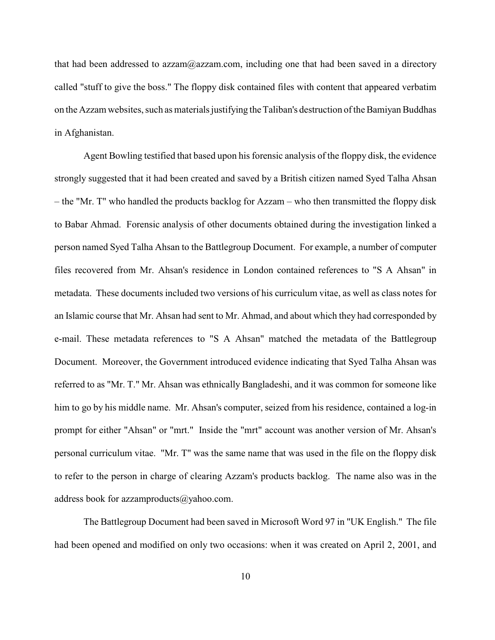that had been addressed to azzam $@$ azzam.com, including one that had been saved in a directory called "stuff to give the boss." The floppy disk contained files with content that appeared verbatim on the Azzam websites, such as materials justifying the Taliban's destruction of the Bamiyan Buddhas in Afghanistan.

Agent Bowling testified that based upon his forensic analysis of the floppy disk, the evidence strongly suggested that it had been created and saved by a British citizen named Syed Talha Ahsan – the "Mr. T" who handled the products backlog for Azzam – who then transmitted the floppy disk to Babar Ahmad. Forensic analysis of other documents obtained during the investigation linked a person named Syed Talha Ahsan to the Battlegroup Document. For example, a number of computer files recovered from Mr. Ahsan's residence in London contained references to "S A Ahsan" in metadata. These documents included two versions of his curriculum vitae, as well as class notes for an Islamic course that Mr. Ahsan had sent to Mr. Ahmad, and about which they had corresponded by e-mail. These metadata references to "S A Ahsan" matched the metadata of the Battlegroup Document. Moreover, the Government introduced evidence indicating that Syed Talha Ahsan was referred to as "Mr. T." Mr. Ahsan was ethnically Bangladeshi, and it was common for someone like him to go by his middle name. Mr. Ahsan's computer, seized from his residence, contained a log-in prompt for either "Ahsan" or "mrt." Inside the "mrt" account was another version of Mr. Ahsan's personal curriculum vitae. "Mr. T" was the same name that was used in the file on the floppy disk to refer to the person in charge of clearing Azzam's products backlog. The name also was in the address book for [azzamproducts@yahoo.com.](mailto:azzamproducts@yahoo.com.)

The Battlegroup Document had been saved in Microsoft Word 97 in "UK English." The file had been opened and modified on only two occasions: when it was created on April 2, 2001, and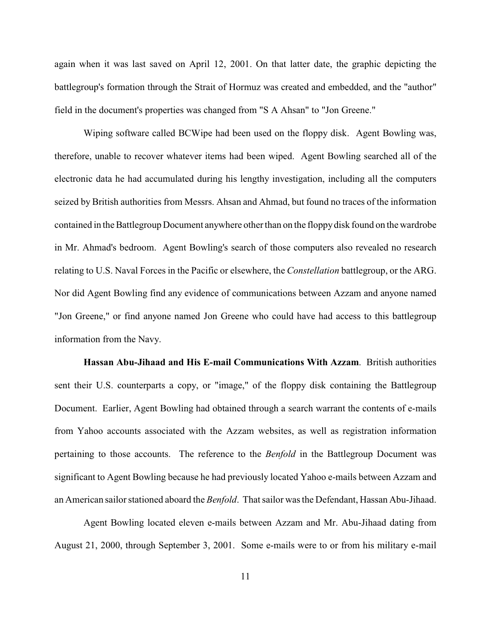again when it was last saved on April 12, 2001. On that latter date, the graphic depicting the battlegroup's formation through the Strait of Hormuz was created and embedded, and the "author" field in the document's properties was changed from "S A Ahsan" to "Jon Greene."

Wiping software called BCWipe had been used on the floppy disk. Agent Bowling was, therefore, unable to recover whatever items had been wiped. Agent Bowling searched all of the electronic data he had accumulated during his lengthy investigation, including all the computers seized by British authorities from Messrs. Ahsan and Ahmad, but found no traces of the information contained in the Battlegroup Document anywhere other than on the floppy disk found on the wardrobe in Mr. Ahmad's bedroom. Agent Bowling's search of those computers also revealed no research relating to U.S. Naval Forces in the Pacific or elsewhere, the *Constellation* battlegroup, or the ARG. Nor did Agent Bowling find any evidence of communications between Azzam and anyone named "Jon Greene," or find anyone named Jon Greene who could have had access to this battlegroup information from the Navy.

**Hassan Abu-Jihaad and His E-mail Communications With Azzam**. British authorities sent their U.S. counterparts a copy, or "image," of the floppy disk containing the Battlegroup Document. Earlier, Agent Bowling had obtained through a search warrant the contents of e-mails from Yahoo accounts associated with the Azzam websites, as well as registration information pertaining to those accounts. The reference to the *Benfold* in the Battlegroup Document was significant to Agent Bowling because he had previously located Yahoo e-mails between Azzam and an American sailor stationed aboard the *Benfold*. That sailor was the Defendant, Hassan Abu-Jihaad.

Agent Bowling located eleven e-mails between Azzam and Mr. Abu-Jihaad dating from August 21, 2000, through September 3, 2001. Some e-mails were to or from his military e-mail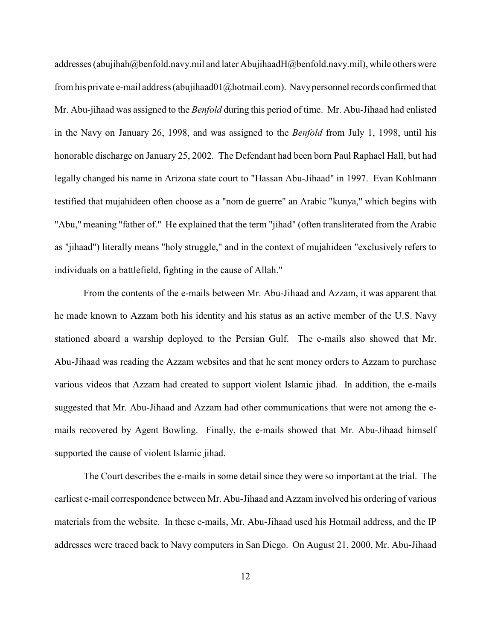addresses (abujihah@benfold.navy.mil and later AbujihaadH@benfold.navy.mil), while others were from his private e-mail address (abujihaad $01$ @hotmail.com). Navy personnel records confirmed that Mr. Abu-jihaad was assigned to the *Benfold* during this period of time. Mr. Abu-Jihaad had enlisted in the Navy on January 26, 1998, and was assigned to the *Benfold* from July 1, 1998, until his honorable discharge on January 25, 2002. The Defendant had been born Paul Raphael Hall, but had legally changed his name in Arizona state court to "Hassan Abu-Jihaad" in 1997. Evan Kohlmann testified that mujahideen often choose as a "nom de guerre" an Arabic "kunya," which begins with "Abu," meaning "father of." He explained that the term "jihad" (often transliterated from the Arabic as "jihaad") literally means "holy struggle," and in the context of mujahideen "exclusively refers to individuals on a battlefield, fighting in the cause of Allah."

From the contents of the e-mails between Mr. Abu-Jihaad and Azzam, it was apparent that he made known to Azzam both his identity and his status as an active member of the U.S. Navy stationed aboard a warship deployed to the Persian Gulf. The e-mails also showed that Mr. Abu-Jihaad was reading the Azzam websites and that he sent money orders to Azzam to purchase various videos that Azzam had created to support violent Islamic jihad. In addition, the e-mails suggested that Mr. Abu-Jihaad and Azzam had other communications that were not among the emails recovered by Agent Bowling. Finally, the e-mails showed that Mr. Abu-Jihaad himself supported the cause of violent Islamic jihad.

The Court describes the e-mails in some detail since they were so important at the trial. The earliest e-mail correspondence between Mr. Abu-Jihaad and Azzam involved his ordering of various materials from the website. In these e-mails, Mr. Abu-Jihaad used his Hotmail address, and the IP addresses were traced back to Navy computers in San Diego. On August 21, 2000, Mr. Abu-Jihaad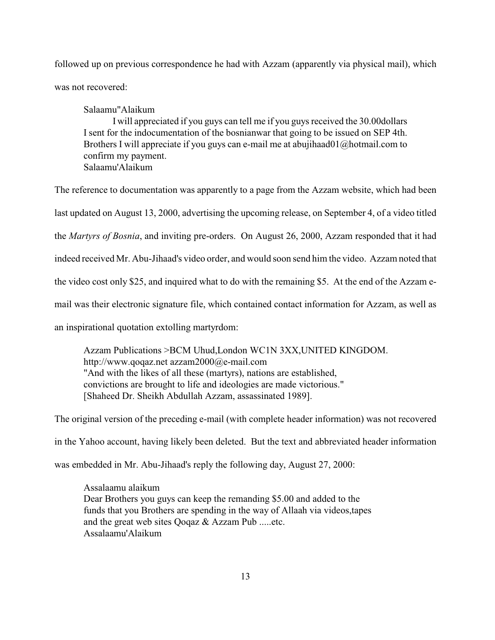followed up on previous correspondence he had with Azzam (apparently via physical mail), which was not recovered:

Salaamu"Alaikum

I will appreciated if you guys can tell me if you guys received the 30.00dollars I sent for the indocumentation of the bosnianwar that going to be issued on SEP 4th. Brothers I will appreciate if you guys can e-mail me at abujihaad01@hotmail.com to confirm my payment. Salaamu'Alaikum

The reference to documentation was apparently to a page from the Azzam website, which had been last updated on August 13, 2000, advertising the upcoming release, on September 4, of a video titled the *Martyrs of Bosnia*, and inviting pre-orders. On August 26, 2000, Azzam responded that it had indeed received Mr. Abu-Jihaad's video order, and would soon send him the video. Azzam noted that the video cost only \$25, and inquired what to do with the remaining \$5. At the end of the Azzam email was their electronic signature file, which contained contact information for Azzam, as well as an inspirational quotation extolling martyrdom:

Azzam Publications >BCM Uhud,London WC1N 3XX,UNITED KINGDOM. http://www.qoqaz.net azzam2000@e-mail.com "And with the likes of all these (martyrs), nations are established, convictions are brought to life and ideologies are made victorious." [Shaheed Dr. Sheikh Abdullah Azzam, assassinated 1989].

The original version of the preceding e-mail (with complete header information) was not recovered

in the Yahoo account, having likely been deleted. But the text and abbreviated header information

was embedded in Mr. Abu-Jihaad's reply the following day, August 27, 2000:

Assalaamu alaikum Dear Brothers you guys can keep the remanding \$5.00 and added to the funds that you Brothers are spending in the way of Allaah via videos,tapes and the great web sites Qoqaz & Azzam Pub .....etc. Assalaamu'Alaikum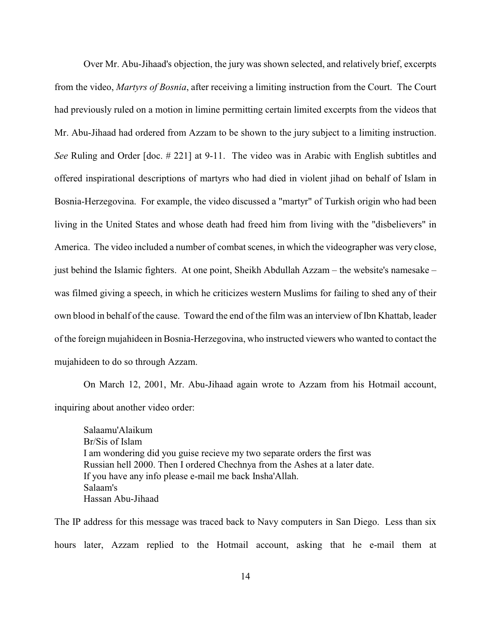Over Mr. Abu-Jihaad's objection, the jury was shown selected, and relatively brief, excerpts from the video, *Martyrs of Bosnia*, after receiving a limiting instruction from the Court. The Court had previously ruled on a motion in limine permitting certain limited excerpts from the videos that Mr. Abu-Jihaad had ordered from Azzam to be shown to the jury subject to a limiting instruction. *See* Ruling and Order [doc. # 221] at 9-11. The video was in Arabic with English subtitles and offered inspirational descriptions of martyrs who had died in violent jihad on behalf of Islam in Bosnia-Herzegovina. For example, the video discussed a "martyr" of Turkish origin who had been living in the United States and whose death had freed him from living with the "disbelievers" in America. The video included a number of combat scenes, in which the videographer was very close, just behind the Islamic fighters. At one point, Sheikh Abdullah Azzam – the website's namesake – was filmed giving a speech, in which he criticizes western Muslims for failing to shed any of their own blood in behalf of the cause. Toward the end of the film was an interview of Ibn Khattab, leader of the foreign mujahideen in Bosnia-Herzegovina, who instructed viewers who wanted to contact the mujahideen to do so through Azzam.

On March 12, 2001, Mr. Abu-Jihaad again wrote to Azzam from his Hotmail account, inquiring about another video order:

Salaamu'Alaikum Br/Sis of Islam I am wondering did you guise recieve my two separate orders the first was Russian hell 2000. Then I ordered Chechnya from the Ashes at a later date. If you have any info please e-mail me back Insha'Allah. Salaam's Hassan Abu-Jihaad

The IP address for this message was traced back to Navy computers in San Diego. Less than six hours later, Azzam replied to the Hotmail account, asking that he e-mail them at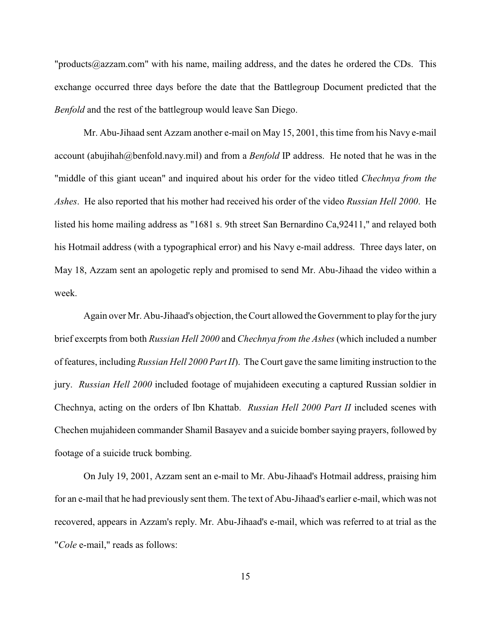"products@azzam.com" with his name, mailing address, and the dates he ordered the CDs. This exchange occurred three days before the date that the Battlegroup Document predicted that the *Benfold* and the rest of the battlegroup would leave San Diego.

Mr. Abu-Jihaad sent Azzam another e-mail on May 15, 2001, this time from his Navy e-mail account (abujihah@benfold.navy.mil) and from a *Benfold* IP address. He noted that he was in the "middle of this giant ucean" and inquired about his order for the video titled *Chechnya from the Ashes*. He also reported that his mother had received his order of the video *Russian Hell 2000*. He listed his home mailing address as "1681 s. 9th street San Bernardino Ca,92411," and relayed both his Hotmail address (with a typographical error) and his Navy e-mail address. Three days later, on May 18, Azzam sent an apologetic reply and promised to send Mr. Abu-Jihaad the video within a week.

Again over Mr. Abu-Jihaad's objection, the Court allowed the Government to play for the jury brief excerpts from both *Russian Hell 2000* and *Chechnya from the Ashes* (which included a number of features, including *Russian Hell 2000 Part II*). The Court gave the same limiting instruction to the jury. *Russian Hell 2000* included footage of mujahideen executing a captured Russian soldier in Chechnya, acting on the orders of Ibn Khattab. *Russian Hell 2000 Part II* included scenes with Chechen mujahideen commander Shamil Basayev and a suicide bomber saying prayers, followed by footage of a suicide truck bombing.

On July 19, 2001, Azzam sent an e-mail to Mr. Abu-Jihaad's Hotmail address, praising him for an e-mail that he had previously sent them. The text of Abu-Jihaad's earlier e-mail, which was not recovered, appears in Azzam's reply. Mr. Abu-Jihaad's e-mail, which was referred to at trial as the "*Cole* e-mail," reads as follows: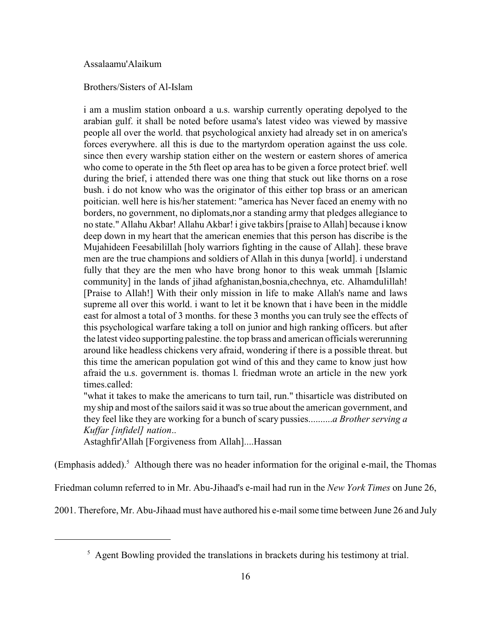## Assalaamu'Alaikum

### Brothers/Sisters of Al-Islam

i am a muslim station onboard a u.s. warship currently operating depolyed to the arabian gulf. it shall be noted before usama's latest video was viewed by massive people all over the world. that psychological anxiety had already set in on america's forces everywhere. all this is due to the martyrdom operation against the uss cole. since then every warship station either on the western or eastern shores of america who come to operate in the 5th fleet op area has to be given a force protect brief. well during the brief, i attended there was one thing that stuck out like thorns on a rose bush. i do not know who was the originator of this either top brass or an american poitician. well here is his/her statement: "america has Never faced an enemy with no borders, no government, no diplomats,nor a standing army that pledges allegiance to no state." Allahu Akbar! Allahu Akbar! i give takbirs [praise to Allah] because i know deep down in my heart that the american enemies that this person has discribe is the Mujahideen Feesabilillah [holy warriors fighting in the cause of Allah]. these brave men are the true champions and soldiers of Allah in this dunya [world]. i understand fully that they are the men who have brong honor to this weak ummah [Islamic community] in the lands of jihad afghanistan,bosnia,chechnya, etc. Alhamdulillah! [Praise to Allah!] With their only mission in life to make Allah's name and laws supreme all over this world. i want to let it be known that i have been in the middle east for almost a total of 3 months. for these 3 months you can truly see the effects of this psychological warfare taking a toll on junior and high ranking officers. but after the latest video supporting palestine. the top brass and american officials wererunning around like headless chickens very afraid, wondering if there is a possible threat. but this time the american population got wind of this and they came to know just how afraid the u.s. government is. thomas l. friedman wrote an article in the new york times.called:

"what it takes to make the americans to turn tail, run." thisarticle was distributed on my ship and most of the sailors said it was so true about the american government, and they feel like they are working for a bunch of scary pussies..........*a Brother serving a Kuffar [infidel] nation*..

Astaghfir'Allah [Forgiveness from Allah]....Hassan

(Emphasis added).<sup>5</sup> Although there was no header information for the original e-mail, the Thomas

Friedman column referred to in Mr. Abu-Jihaad's e-mail had run in the *New York Times* on June 26,

2001. Therefore, Mr. Abu-Jihaad must have authored his e-mail some time between June 26 and July

<sup>&</sup>lt;sup>5</sup> Agent Bowling provided the translations in brackets during his testimony at trial.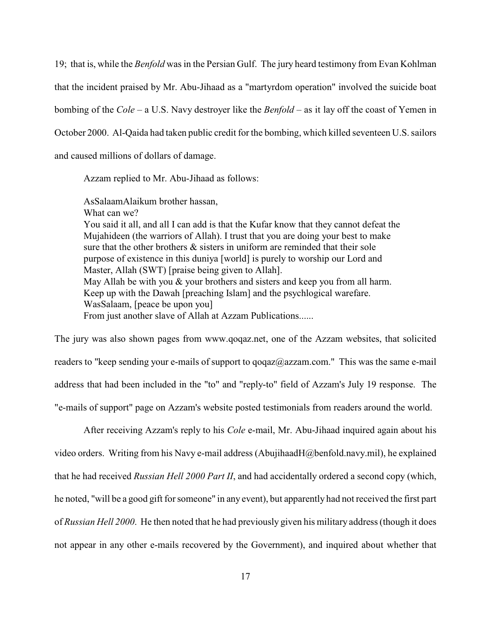19; that is, while the *Benfold* was in the Persian Gulf. The jury heard testimony from Evan Kohlman that the incident praised by Mr. Abu-Jihaad as a "martyrdom operation" involved the suicide boat bombing of the *Cole* – a U.S. Navy destroyer like the *Benfold* – as it lay off the coast of Yemen in October 2000. Al-Qaida had taken public credit for the bombing, which killed seventeen U.S. sailors and caused millions of dollars of damage.

Azzam replied to Mr. Abu-Jihaad as follows:

AsSalaamAlaikum brother hassan, What can we? You said it all, and all I can add is that the Kufar know that they cannot defeat the Mujahideen (the warriors of Allah). I trust that you are doing your best to make sure that the other brothers & sisters in uniform are reminded that their sole purpose of existence in this duniya [world] is purely to worship our Lord and Master, Allah (SWT) [praise being given to Allah]. May Allah be with you  $\&$  your brothers and sisters and keep you from all harm. Keep up with the Dawah [preaching Islam] and the psychlogical warefare. WasSalaam, [peace be upon you] From just another slave of Allah at Azzam Publications......

The jury was also shown pages from www.qoqaz.net, one of the Azzam websites, that solicited readers to "keep sending your e-mails of support to qoqaz@azzam.com." This was the same e-mail address that had been included in the "to" and "reply-to" field of Azzam's July 19 response. The "e-mails of support" page on Azzam's website posted testimonials from readers around the world.

After receiving Azzam's reply to his *Cole* e-mail, Mr. Abu-Jihaad inquired again about his video orders. Writing from his Navy e-mail address (AbujihaadH@benfold.navy.mil), he explained that he had received *Russian Hell 2000 Part II*, and had accidentally ordered a second copy (which, he noted, "will be a good gift for someone" in any event), but apparently had not received the first part of *Russian Hell 2000*. He then noted that he had previously given his military address (though it does not appear in any other e-mails recovered by the Government), and inquired about whether that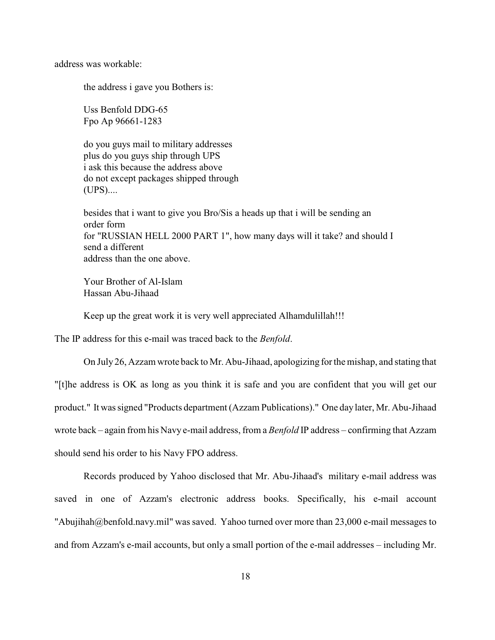address was workable:

the address i gave you Bothers is:

Uss Benfold DDG-65 Fpo Ap 96661-1283

do you guys mail to military addresses plus do you guys ship through UPS i ask this because the address above do not except packages shipped through (UPS)....

besides that i want to give you Bro/Sis a heads up that i will be sending an order form for "RUSSIAN HELL 2000 PART 1", how many days will it take? and should I send a different address than the one above.

Your Brother of Al-Islam Hassan Abu-Jihaad

Keep up the great work it is very well appreciated Alhamdulillah!!!

The IP address for this e-mail was traced back to the *Benfold*.

On July 26, Azzam wrote back to Mr. Abu-Jihaad, apologizing for the mishap, and stating that "[t]he address is OK as long as you think it is safe and you are confident that you will get our product." It was signed "Products department (Azzam Publications)." One day later, Mr. Abu-Jihaad wrote back – again from his Navy e-mail address, from a *Benfold* IP address – confirming that Azzam should send his order to his Navy FPO address.

Records produced by Yahoo disclosed that Mr. Abu-Jihaad's military e-mail address was saved in one of Azzam's electronic address books. Specifically, his e-mail account "Abujihah@benfold.navy.mil" was saved. Yahoo turned over more than 23,000 e-mail messages to and from Azzam's e-mail accounts, but only a small portion of the e-mail addresses – including Mr.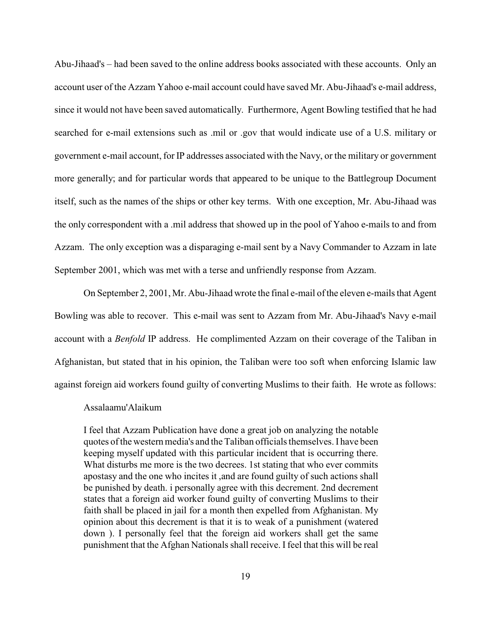Abu-Jihaad's – had been saved to the online address books associated with these accounts. Only an account user of the Azzam Yahoo e-mail account could have saved Mr. Abu-Jihaad's e-mail address, since it would not have been saved automatically. Furthermore, Agent Bowling testified that he had searched for e-mail extensions such as .mil or .gov that would indicate use of a U.S. military or government e-mail account, for IP addresses associated with the Navy, or the military or government more generally; and for particular words that appeared to be unique to the Battlegroup Document itself, such as the names of the ships or other key terms. With one exception, Mr. Abu-Jihaad was the only correspondent with a .mil address that showed up in the pool of Yahoo e-mails to and from Azzam. The only exception was a disparaging e-mail sent by a Navy Commander to Azzam in late September 2001, which was met with a terse and unfriendly response from Azzam.

On September 2, 2001, Mr. Abu-Jihaad wrote the final e-mail ofthe eleven e-mails that Agent Bowling was able to recover. This e-mail was sent to Azzam from Mr. Abu-Jihaad's Navy e-mail account with a *Benfold* IP address. He complimented Azzam on their coverage of the Taliban in Afghanistan, but stated that in his opinion, the Taliban were too soft when enforcing Islamic law against foreign aid workers found guilty of converting Muslims to their faith. He wrote as follows:

#### Assalaamu'Alaikum

I feel that Azzam Publication have done a great job on analyzing the notable quotes of the western media's and the Taliban officials themselves. I have been keeping myself updated with this particular incident that is occurring there. What disturbs me more is the two decrees. 1st stating that who ever commits apostasy and the one who incites it ,and are found guilty of such actions shall be punished by death. i personally agree with this decrement. 2nd decrement states that a foreign aid worker found guilty of converting Muslims to their faith shall be placed in jail for a month then expelled from Afghanistan. My opinion about this decrement is that it is to weak of a punishment (watered down ). I personally feel that the foreign aid workers shall get the same punishment that the Afghan Nationals shall receive. I feel that this will be real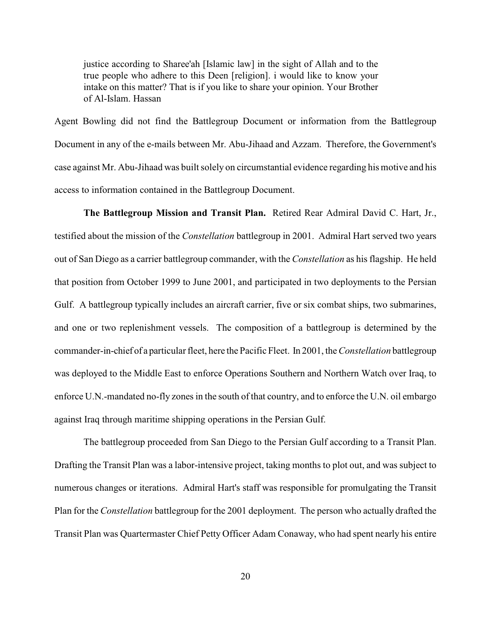justice according to Sharee'ah [Islamic law] in the sight of Allah and to the true people who adhere to this Deen [religion]. i would like to know your intake on this matter? That is if you like to share your opinion. Your Brother of Al-Islam. Hassan

Agent Bowling did not find the Battlegroup Document or information from the Battlegroup Document in any of the e-mails between Mr. Abu-Jihaad and Azzam. Therefore, the Government's case against Mr. Abu-Jihaad was built solely on circumstantial evidence regarding his motive and his access to information contained in the Battlegroup Document.

**The Battlegroup Mission and Transit Plan.** Retired Rear Admiral David C. Hart, Jr., testified about the mission of the *Constellation* battlegroup in 2001. Admiral Hart served two years out of San Diego as a carrier battlegroup commander, with the *Constellation* as his flagship. He held that position from October 1999 to June 2001, and participated in two deployments to the Persian Gulf. A battlegroup typically includes an aircraft carrier, five or six combat ships, two submarines, and one or two replenishment vessels. The composition of a battlegroup is determined by the commander-in-chief of a particular fleet, here the Pacific Fleet. In 2001, the *Constellation* battlegroup was deployed to the Middle East to enforce Operations Southern and Northern Watch over Iraq, to enforce U.N.-mandated no-fly zones in the south of that country, and to enforce the U.N. oil embargo against Iraq through maritime shipping operations in the Persian Gulf.

The battlegroup proceeded from San Diego to the Persian Gulf according to a Transit Plan. Drafting the Transit Plan was a labor-intensive project, taking months to plot out, and was subject to numerous changes or iterations. Admiral Hart's staff was responsible for promulgating the Transit Plan for the *Constellation* battlegroup for the 2001 deployment. The person who actually drafted the Transit Plan was Quartermaster Chief Petty Officer Adam Conaway, who had spent nearly his entire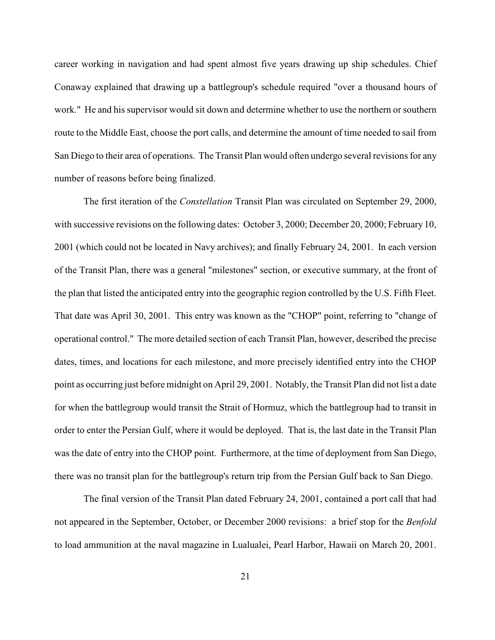career working in navigation and had spent almost five years drawing up ship schedules. Chief Conaway explained that drawing up a battlegroup's schedule required "over a thousand hours of work." He and his supervisor would sit down and determine whether to use the northern or southern route to the Middle East, choose the port calls, and determine the amount of time needed to sail from San Diego to their area of operations. The Transit Plan would often undergo several revisions for any number of reasons before being finalized.

The first iteration of the *Constellation* Transit Plan was circulated on September 29, 2000, with successive revisions on the following dates: October 3, 2000; December 20, 2000; February 10, 2001 (which could not be located in Navy archives); and finally February 24, 2001. In each version of the Transit Plan, there was a general "milestones" section, or executive summary, at the front of the plan that listed the anticipated entry into the geographic region controlled by the U.S. Fifth Fleet. That date was April 30, 2001. This entry was known as the "CHOP" point, referring to "change of operational control." The more detailed section of each Transit Plan, however, described the precise dates, times, and locations for each milestone, and more precisely identified entry into the CHOP point as occurring just before midnight on April 29, 2001. Notably, the Transit Plan did not list a date for when the battlegroup would transit the Strait of Hormuz, which the battlegroup had to transit in order to enter the Persian Gulf, where it would be deployed. That is, the last date in the Transit Plan was the date of entry into the CHOP point. Furthermore, at the time of deployment from San Diego, there was no transit plan for the battlegroup's return trip from the Persian Gulf back to San Diego.

The final version of the Transit Plan dated February 24, 2001, contained a port call that had not appeared in the September, October, or December 2000 revisions: a brief stop for the *Benfold* to load ammunition at the naval magazine in Lualualei, Pearl Harbor, Hawaii on March 20, 2001.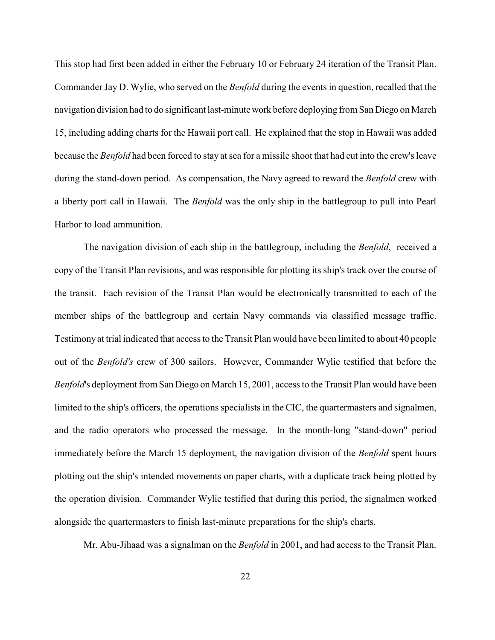This stop had first been added in either the February 10 or February 24 iteration of the Transit Plan. Commander Jay D. Wylie, who served on the *Benfold* during the events in question, recalled that the navigation division had to do significant last-minute work before deploying from San Diego on March 15, including adding charts for the Hawaii port call. He explained that the stop in Hawaii was added because the *Benfold* had been forced to stay at sea for a missile shoot that had cut into the crew's leave during the stand-down period. As compensation, the Navy agreed to reward the *Benfold* crew with a liberty port call in Hawaii. The *Benfold* was the only ship in the battlegroup to pull into Pearl Harbor to load ammunition.

The navigation division of each ship in the battlegroup, including the *Benfold*, received a copy of the Transit Plan revisions, and was responsible for plotting its ship's track over the course of the transit. Each revision of the Transit Plan would be electronically transmitted to each of the member ships of the battlegroup and certain Navy commands via classified message traffic. Testimony at trial indicated that access to the Transit Plan would have been limited to about 40 people out of the *Benfold's* crew of 300 sailors. However, Commander Wylie testified that before the *Benfold*'s deployment from San Diego on March 15, 2001, access to the Transit Plan would have been limited to the ship's officers, the operations specialists in the CIC, the quartermasters and signalmen, and the radio operators who processed the message. In the month-long "stand-down" period immediately before the March 15 deployment, the navigation division of the *Benfold* spent hours plotting out the ship's intended movements on paper charts, with a duplicate track being plotted by the operation division. Commander Wylie testified that during this period, the signalmen worked alongside the quartermasters to finish last-minute preparations for the ship's charts.

Mr. Abu-Jihaad was a signalman on the *Benfold* in 2001, and had access to the Transit Plan.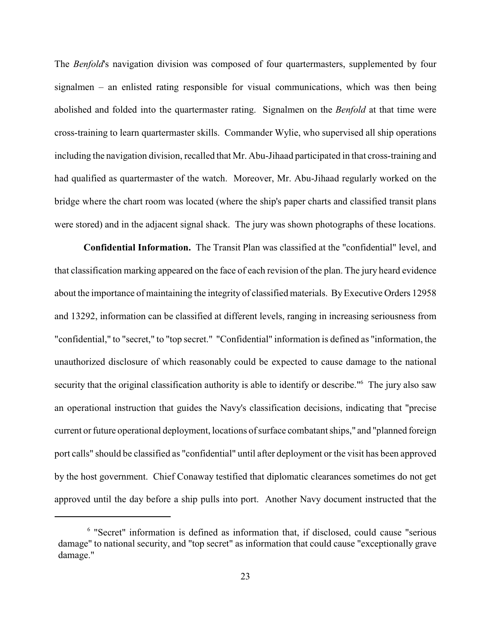The *Benfold*'s navigation division was composed of four quartermasters, supplemented by four signalmen – an enlisted rating responsible for visual communications, which was then being abolished and folded into the quartermaster rating. Signalmen on the *Benfold* at that time were cross-training to learn quartermaster skills. Commander Wylie, who supervised all ship operations including the navigation division, recalled that Mr. Abu-Jihaad participated in that cross-training and had qualified as quartermaster of the watch. Moreover, Mr. Abu-Jihaad regularly worked on the bridge where the chart room was located (where the ship's paper charts and classified transit plans were stored) and in the adjacent signal shack. The jury was shown photographs of these locations.

**Confidential Information.** The Transit Plan was classified at the "confidential" level, and that classification marking appeared on the face of each revision of the plan. The jury heard evidence about the importance of maintaining the integrity of classified materials. By Executive Orders 12958 and 13292, information can be classified at different levels, ranging in increasing seriousness from "confidential," to "secret," to "top secret." "Confidential" information is defined as "information, the unauthorized disclosure of which reasonably could be expected to cause damage to the national security that the original classification authority is able to identify or describe."<sup>6</sup> The jury also saw an operational instruction that guides the Navy's classification decisions, indicating that "precise current or future operational deployment, locations of surface combatant ships," and "planned foreign port calls" should be classified as "confidential" until after deployment or the visit has been approved by the host government. Chief Conaway testified that diplomatic clearances sometimes do not get approved until the day before a ship pulls into port. Another Navy document instructed that the

<sup>&</sup>lt;sup>6</sup> "Secret" information is defined as information that, if disclosed, could cause "serious damage" to national security, and "top secret" as information that could cause "exceptionally grave damage."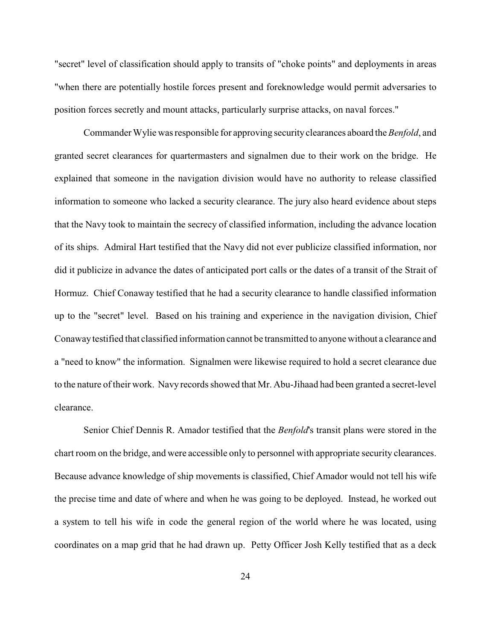"secret" level of classification should apply to transits of "choke points" and deployments in areas "when there are potentially hostile forces present and foreknowledge would permit adversaries to position forces secretly and mount attacks, particularly surprise attacks, on naval forces."

Commander Wylie was responsible for approving security clearances aboard the *Benfold*, and granted secret clearances for quartermasters and signalmen due to their work on the bridge. He explained that someone in the navigation division would have no authority to release classified information to someone who lacked a security clearance. The jury also heard evidence about steps that the Navy took to maintain the secrecy of classified information, including the advance location of its ships. Admiral Hart testified that the Navy did not ever publicize classified information, nor did it publicize in advance the dates of anticipated port calls or the dates of a transit of the Strait of Hormuz. Chief Conaway testified that he had a security clearance to handle classified information up to the "secret" level. Based on his training and experience in the navigation division, Chief Conawaytestified that classified information cannot be transmitted to anyone without a clearance and a "need to know" the information. Signalmen were likewise required to hold a secret clearance due to the nature of their work. Navy records showed that Mr. Abu-Jihaad had been granted a secret-level clearance.

Senior Chief Dennis R. Amador testified that the *Benfold*'s transit plans were stored in the chart room on the bridge, and were accessible only to personnel with appropriate security clearances. Because advance knowledge of ship movements is classified, Chief Amador would not tell his wife the precise time and date of where and when he was going to be deployed. Instead, he worked out a system to tell his wife in code the general region of the world where he was located, using coordinates on a map grid that he had drawn up. Petty Officer Josh Kelly testified that as a deck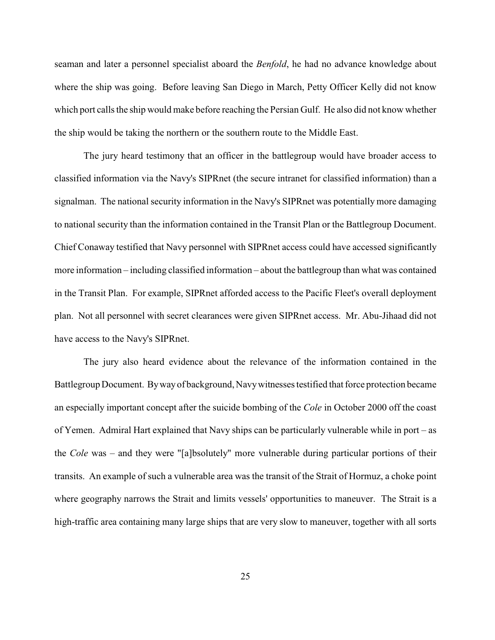seaman and later a personnel specialist aboard the *Benfold*, he had no advance knowledge about where the ship was going. Before leaving San Diego in March, Petty Officer Kelly did not know which port calls the ship would make before reaching the Persian Gulf. He also did not know whether the ship would be taking the northern or the southern route to the Middle East.

The jury heard testimony that an officer in the battlegroup would have broader access to classified information via the Navy's SIPRnet (the secure intranet for classified information) than a signalman. The national security information in the Navy's SIPRnet was potentially more damaging to national security than the information contained in the Transit Plan or the Battlegroup Document. Chief Conaway testified that Navy personnel with SIPRnet access could have accessed significantly more information – including classified information – about the battlegroup than what was contained in the Transit Plan. For example, SIPRnet afforded access to the Pacific Fleet's overall deployment plan. Not all personnel with secret clearances were given SIPRnet access. Mr. Abu-Jihaad did not have access to the Navy's SIPRnet.

The jury also heard evidence about the relevance of the information contained in the Battlegroup Document. By way of background, Navy witnesses testified that force protection became an especially important concept after the suicide bombing of the *Cole* in October 2000 off the coast of Yemen. Admiral Hart explained that Navy ships can be particularly vulnerable while in port – as the *Cole* was – and they were "[a]bsolutely" more vulnerable during particular portions of their transits. An example of such a vulnerable area was the transit of the Strait of Hormuz, a choke point where geography narrows the Strait and limits vessels' opportunities to maneuver. The Strait is a high-traffic area containing many large ships that are very slow to maneuver, together with all sorts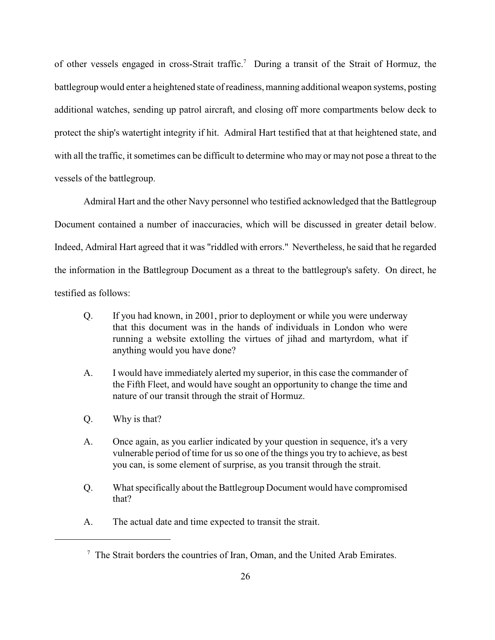of other vessels engaged in cross-Strait traffic.<sup>7</sup> During a transit of the Strait of Hormuz, the battlegroup would enter a heightened state of readiness, manning additional weapon systems, posting additional watches, sending up patrol aircraft, and closing off more compartments below deck to protect the ship's watertight integrity if hit. Admiral Hart testified that at that heightened state, and with all the traffic, it sometimes can be difficult to determine who may or may not pose a threat to the vessels of the battlegroup.

Admiral Hart and the other Navy personnel who testified acknowledged that the Battlegroup Document contained a number of inaccuracies, which will be discussed in greater detail below. Indeed, Admiral Hart agreed that it was "riddled with errors." Nevertheless, he said that he regarded the information in the Battlegroup Document as a threat to the battlegroup's safety. On direct, he testified as follows:

- Q. If you had known, in 2001, prior to deployment or while you were underway that this document was in the hands of individuals in London who were running a website extolling the virtues of jihad and martyrdom, what if anything would you have done?
- A. I would have immediately alerted my superior, in this case the commander of the Fifth Fleet, and would have sought an opportunity to change the time and nature of our transit through the strait of Hormuz.
- Q. Why is that?
- A. Once again, as you earlier indicated by your question in sequence, it's a very vulnerable period of time for us so one of the things you try to achieve, as best you can, is some element of surprise, as you transit through the strait.
- Q. What specifically about the Battlegroup Document would have compromised that?
- A. The actual date and time expected to transit the strait.

 $\frac{7}{7}$  The Strait borders the countries of Iran, Oman, and the United Arab Emirates.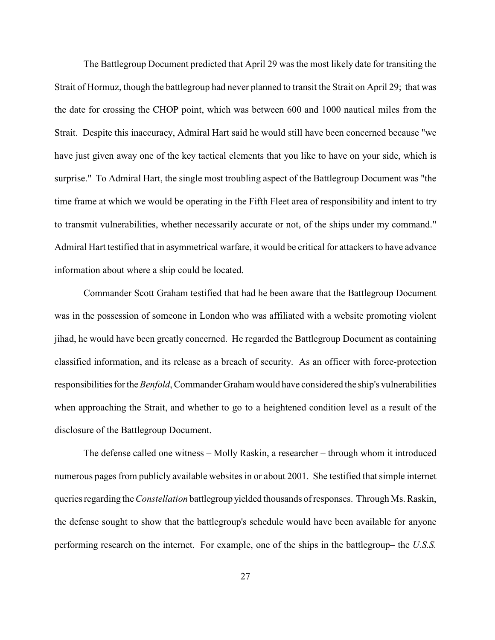The Battlegroup Document predicted that April 29 was the most likely date for transiting the Strait of Hormuz, though the battlegroup had never planned to transit the Strait on April 29; that was the date for crossing the CHOP point, which was between 600 and 1000 nautical miles from the Strait. Despite this inaccuracy, Admiral Hart said he would still have been concerned because "we have just given away one of the key tactical elements that you like to have on your side, which is surprise." To Admiral Hart, the single most troubling aspect of the Battlegroup Document was "the time frame at which we would be operating in the Fifth Fleet area of responsibility and intent to try to transmit vulnerabilities, whether necessarily accurate or not, of the ships under my command." Admiral Hart testified that in asymmetrical warfare, it would be critical for attackers to have advance information about where a ship could be located.

Commander Scott Graham testified that had he been aware that the Battlegroup Document was in the possession of someone in London who was affiliated with a website promoting violent jihad, he would have been greatly concerned. He regarded the Battlegroup Document as containing classified information, and its release as a breach of security. As an officer with force-protection responsibilities for the *Benfold*, Commander Graham would have considered the ship's vulnerabilities when approaching the Strait, and whether to go to a heightened condition level as a result of the disclosure of the Battlegroup Document.

The defense called one witness – Molly Raskin, a researcher – through whom it introduced numerous pages from publicly available websites in or about 2001. She testified that simple internet queries regarding the *Constellation* battlegroup yielded thousands of responses. Through Ms. Raskin, the defense sought to show that the battlegroup's schedule would have been available for anyone performing research on the internet. For example, one of the ships in the battlegroup– the *U.S.S.*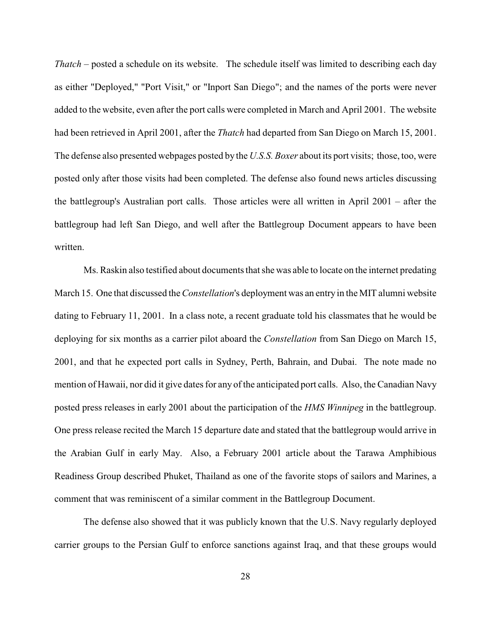*Thatch* – posted a schedule on its website. The schedule itself was limited to describing each day as either "Deployed," "Port Visit," or "Inport San Diego"; and the names of the ports were never added to the website, even after the port calls were completed in March and April 2001. The website had been retrieved in April 2001, after the *Thatch* had departed from San Diego on March 15, 2001. The defense also presented webpages posted by the *U.S.S. Boxer* about its port visits; those, too, were posted only after those visits had been completed. The defense also found news articles discussing the battlegroup's Australian port calls. Those articles were all written in April 2001 – after the battlegroup had left San Diego, and well after the Battlegroup Document appears to have been written.

Ms. Raskin also testified about documents that she was able to locate on the internet predating March 15. One that discussed the *Constellation*'s deployment was an entry in the MIT alumni website dating to February 11, 2001. In a class note, a recent graduate told his classmates that he would be deploying for six months as a carrier pilot aboard the *Constellation* from San Diego on March 15, 2001, and that he expected port calls in Sydney, Perth, Bahrain, and Dubai. The note made no mention of Hawaii, nor did it give dates for any of the anticipated port calls. Also, the Canadian Navy posted press releases in early 2001 about the participation of the *HMS Winnipeg* in the battlegroup. One press release recited the March 15 departure date and stated that the battlegroup would arrive in the Arabian Gulf in early May. Also, a February 2001 article about the Tarawa Amphibious Readiness Group described Phuket, Thailand as one of the favorite stops of sailors and Marines, a comment that was reminiscent of a similar comment in the Battlegroup Document.

The defense also showed that it was publicly known that the U.S. Navy regularly deployed carrier groups to the Persian Gulf to enforce sanctions against Iraq, and that these groups would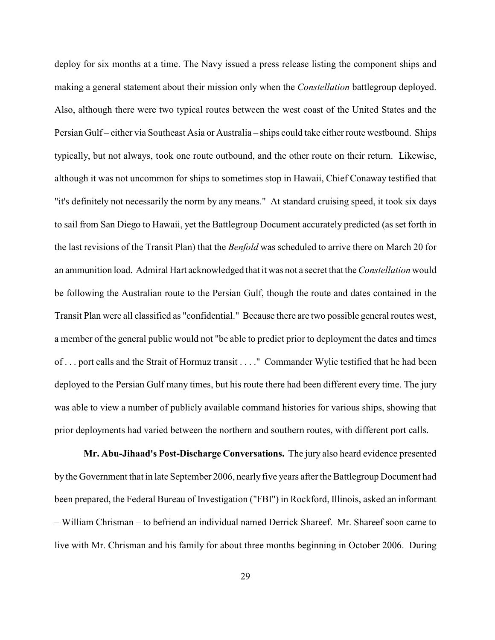deploy for six months at a time. The Navy issued a press release listing the component ships and making a general statement about their mission only when the *Constellation* battlegroup deployed. Also, although there were two typical routes between the west coast of the United States and the Persian Gulf – either via Southeast Asia or Australia – ships could take either route westbound. Ships typically, but not always, took one route outbound, and the other route on their return. Likewise, although it was not uncommon for ships to sometimes stop in Hawaii, Chief Conaway testified that "it's definitely not necessarily the norm by any means." At standard cruising speed, it took six days to sail from San Diego to Hawaii, yet the Battlegroup Document accurately predicted (as set forth in the last revisions of the Transit Plan) that the *Benfold* was scheduled to arrive there on March 20 for an ammunition load. Admiral Hart acknowledged that it was not a secret that the *Constellation* would be following the Australian route to the Persian Gulf, though the route and dates contained in the Transit Plan were all classified as "confidential." Because there are two possible general routes west, a member of the general public would not "be able to predict prior to deployment the dates and times of . . . port calls and the Strait of Hormuz transit . . . ." Commander Wylie testified that he had been deployed to the Persian Gulf many times, but his route there had been different every time. The jury was able to view a number of publicly available command histories for various ships, showing that prior deployments had varied between the northern and southern routes, with different port calls.

**Mr. Abu-Jihaad's Post-Discharge Conversations.** The jury also heard evidence presented by the Government that in late September 2006, nearly five years after the Battlegroup Document had been prepared, the Federal Bureau of Investigation ("FBI") in Rockford, Illinois, asked an informant – William Chrisman – to befriend an individual named Derrick Shareef. Mr. Shareef soon came to live with Mr. Chrisman and his family for about three months beginning in October 2006. During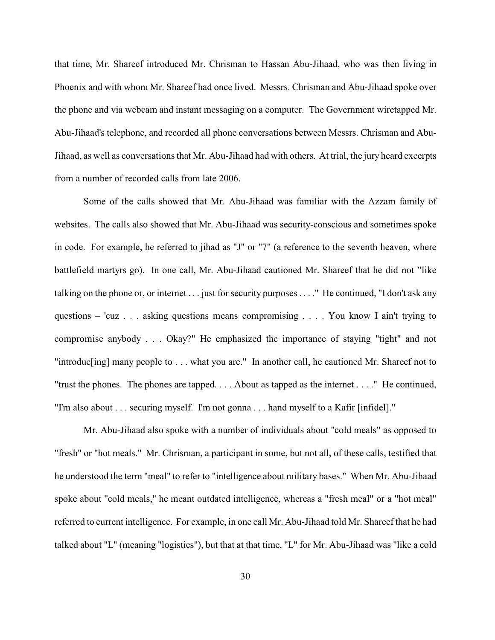that time, Mr. Shareef introduced Mr. Chrisman to Hassan Abu-Jihaad, who was then living in Phoenix and with whom Mr. Shareef had once lived. Messrs. Chrisman and Abu-Jihaad spoke over the phone and via webcam and instant messaging on a computer. The Government wiretapped Mr. Abu-Jihaad's telephone, and recorded all phone conversations between Messrs. Chrisman and Abu-Jihaad, as well as conversations that Mr. Abu-Jihaad had with others. At trial, the jury heard excerpts from a number of recorded calls from late 2006.

Some of the calls showed that Mr. Abu-Jihaad was familiar with the Azzam family of websites. The calls also showed that Mr. Abu-Jihaad was security-conscious and sometimes spoke in code. For example, he referred to jihad as "J" or "7" (a reference to the seventh heaven, where battlefield martyrs go). In one call, Mr. Abu-Jihaad cautioned Mr. Shareef that he did not "like talking on the phone or, or internet . . . just for security purposes . . . ." He continued, "I don't ask any questions – 'cuz . . . asking questions means compromising . . . . You know I ain't trying to compromise anybody . . . Okay?" He emphasized the importance of staying "tight" and not "introduc[ing] many people to . . . what you are." In another call, he cautioned Mr. Shareef not to "trust the phones. The phones are tapped. . . . About as tapped as the internet . . . ." He continued, "I'm also about . . . securing myself. I'm not gonna . . . hand myself to a Kafir [infidel]."

Mr. Abu-Jihaad also spoke with a number of individuals about "cold meals" as opposed to "fresh" or "hot meals." Mr. Chrisman, a participant in some, but not all, of these calls, testified that he understood the term "meal" to refer to "intelligence about military bases." When Mr. Abu-Jihaad spoke about "cold meals," he meant outdated intelligence, whereas a "fresh meal" or a "hot meal" referred to current intelligence. For example, in one call Mr. Abu-Jihaad told Mr. Shareef that he had talked about "L" (meaning "logistics"), but that at that time, "L" for Mr. Abu-Jihaad was "like a cold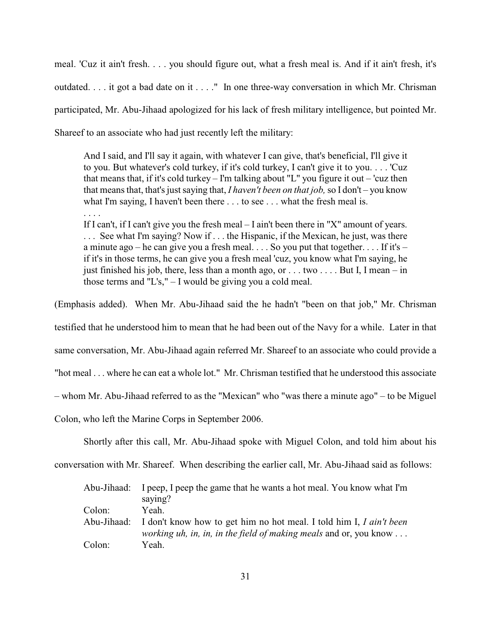meal. 'Cuz it ain't fresh. . . . you should figure out, what a fresh meal is. And if it ain't fresh, it's outdated. . . . it got a bad date on it . . . ." In one three-way conversation in which Mr. Chrisman participated, Mr. Abu-Jihaad apologized for his lack of fresh military intelligence, but pointed Mr. Shareef to an associate who had just recently left the military:

And I said, and I'll say it again, with whatever I can give, that's beneficial, I'll give it to you. But whatever's cold turkey, if it's cold turkey, I can't give it to you. . . . 'Cuz that means that, if it's cold turkey – I'm talking about "L" you figure it out – 'cuz then that means that, that's just saying that, *I haven't been on that job,* so I don't – you know what I'm saying, I haven't been there . . . to see . . . what the fresh meal is. . . . .

If I can't, if I can't give you the fresh meal – I ain't been there in "X" amount of years. . . . See what I'm saying? Now if . . . the Hispanic, if the Mexican, he just, was there a minute ago – he can give you a fresh meal.  $\ldots$  So you put that together.  $\ldots$  If it's – if it's in those terms, he can give you a fresh meal 'cuz, you know what I'm saying, he just finished his job, there, less than a month ago, or . . . two . . . . But I, I mean – in those terms and "L's," – I would be giving you a cold meal.

(Emphasis added). When Mr. Abu-Jihaad said the he hadn't "been on that job," Mr. Chrisman testified that he understood him to mean that he had been out of the Navy for a while. Later in that same conversation, Mr. Abu-Jihaad again referred Mr. Shareef to an associate who could provide a "hot meal . . . where he can eat a whole lot." Mr. Chrisman testified that he understood this associate – whom Mr. Abu-Jihaad referred to as the "Mexican" who "was there a minute ago" – to be Miguel Colon, who left the Marine Corps in September 2006.

Shortly after this call, Mr. Abu-Jihaad spoke with Miguel Colon, and told him about his

conversation with Mr. Shareef. When describing the earlier call, Mr. Abu-Jihaad said as follows:

|        | Abu-Jihaad: I peep, I peep the game that he wants a hot meal. You know what I'm |
|--------|---------------------------------------------------------------------------------|
|        | saying?                                                                         |
| Colon: | Yeah.                                                                           |
|        | Abu-Jihaad: I don't know how to get him no hot meal. I told him I, I ain't been |
|        | <i>working uh, in, in, in the field of making meals and or, you know </i>       |
| Colon: | Yeah.                                                                           |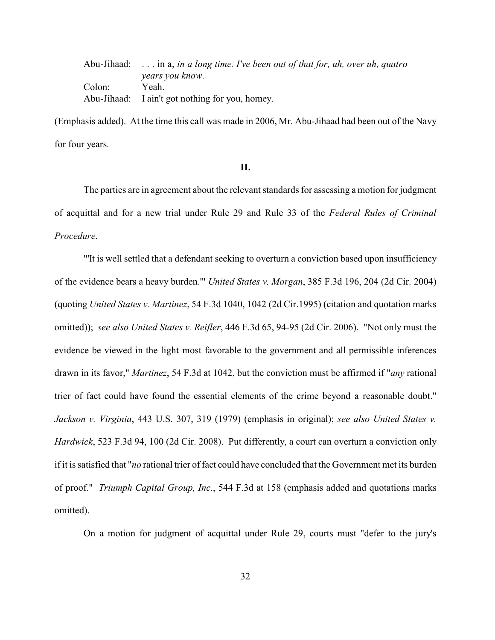| Abu-Jihaad: $\dots$ in a, in a long time. I've been out of that for, uh, over uh, quatro |
|------------------------------------------------------------------------------------------|
| years you know.                                                                          |
| Yeah.                                                                                    |
| Abu-Jihaad: I ain't got nothing for you, homey.                                          |
|                                                                                          |

(Emphasis added). At the time this call was made in 2006, Mr. Abu-Jihaad had been out of the Navy for four years.

### **II.**

The parties are in agreement about the relevant standards for assessing a motion for judgment of acquittal and for a new trial under Rule 29 and Rule 33 of the *Federal Rules of Criminal Procedure*.

"'It is well settled that a defendant seeking to overturn a conviction based upon insufficiency of the evidence bears a heavy burden.'" *United States v. Morgan*, 385 F.3d 196, 204 (2d Cir. 2004) (quoting *United States v. Martinez*, 54 F.3d 1040, 1042 (2d Cir.1995) (citation and quotation marks omitted)); *see also United States v. Reifler*, 446 F.3d 65, 94-95 (2d Cir. 2006). "Not only must the evidence be viewed in the light most favorable to the government and all permissible inferences drawn in its favor," *Martinez*, 54 F.3d at 1042, but the conviction must be affirmed if "*any* rational trier of fact could have found the essential elements of the crime beyond a reasonable doubt." *Jackson v. Virginia*, 443 U.S. 307, 319 (1979) (emphasis in original); *see also United States v. Hardwick*, 523 F.3d 94, 100 (2d Cir. 2008). Put differently, a court can overturn a conviction only if it is satisfied that "*no* rational trier of fact could have concluded that the Government met its burden of proof." *Triumph Capital Group, Inc.*, 544 F.3d at 158 (emphasis added and quotations marks omitted).

On a motion for judgment of acquittal under Rule 29, courts must "defer to the jury's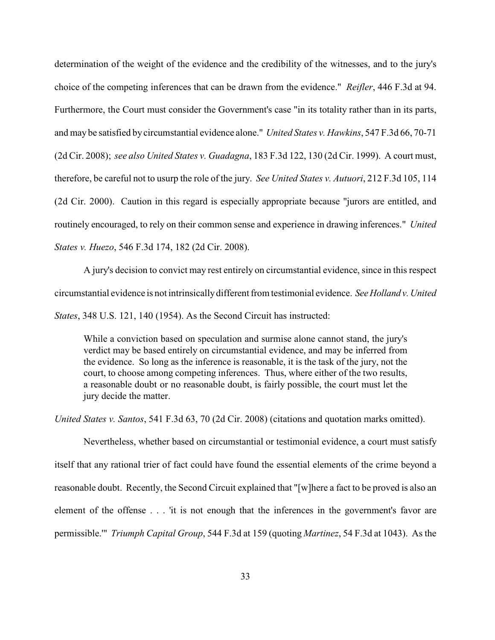determination of the weight of the evidence and the credibility of the witnesses, and to the jury's choice of the competing inferences that can be drawn from the evidence." *Reifler*, 446 F.3d at 94. Furthermore, the Court must consider the Government's case "in its totality rather than in its parts, and may be satisfied by circumstantial evidence alone." *United States v. Hawkins*, 547 F.3d 66, 70-71 (2d Cir. 2008); *see also United States v. Guadagna*, 183 F.3d 122, 130 (2d Cir. 1999). A court must, therefore, be careful not to usurp the role of the jury. *See United States v. Autuori*, 212 F.3d 105, 114 (2d Cir. 2000). Caution in this regard is especially appropriate because "jurors are entitled, and routinely encouraged, to rely on their common sense and experience in drawing inferences." *United States v. Huezo*, 546 F.3d 174, 182 (2d Cir. 2008).

A jury's decision to convict may rest entirely on circumstantial evidence, since in this respect circumstantial evidence is not intrinsically different from testimonial evidence. *See Holland v. United States*, 348 U.S. 121, 140 (1954). As the Second Circuit has instructed:

While a conviction based on speculation and surmise alone cannot stand, the jury's verdict may be based entirely on circumstantial evidence, and may be inferred from the evidence. So long as the inference is reasonable, it is the task of the jury, not the court, to choose among competing inferences. Thus, where either of the two results, a reasonable doubt or no reasonable doubt, is fairly possible, the court must let the jury decide the matter.

*United States v. Santos*, 541 F.3d 63, 70 (2d Cir. 2008) (citations and quotation marks omitted).

Nevertheless, whether based on circumstantial or testimonial evidence, a court must satisfy itself that any rational trier of fact could have found the essential elements of the crime beyond a reasonable doubt. Recently, the Second Circuit explained that "[w]here a fact to be proved is also an element of the offense . . . 'it is not enough that the inferences in the government's favor are permissible.'" *Triumph Capital Group*, 544 F.3d at 159 (quoting *Martinez*, 54 F.3d at 1043). As the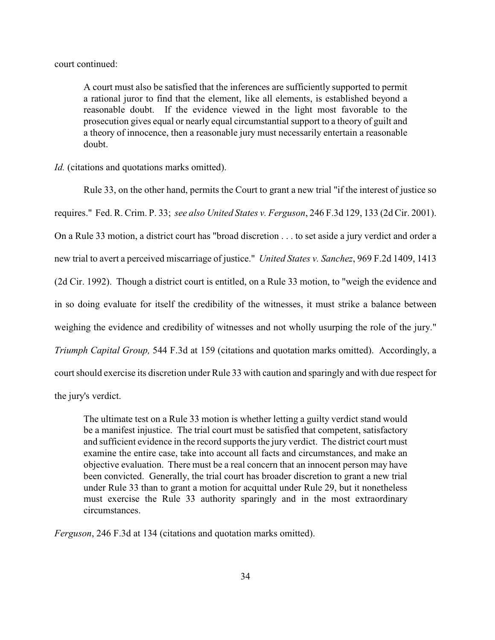court continued:

A court must also be satisfied that the inferences are sufficiently supported to permit a rational juror to find that the element, like all elements, is established beyond a reasonable doubt. If the evidence viewed in the light most favorable to the prosecution gives equal or nearly equal circumstantial support to a theory of guilt and a theory of innocence, then a reasonable jury must necessarily entertain a reasonable doubt.

*Id.* (citations and quotations marks omitted).

Rule 33, on the other hand, permits the Court to grant a new trial "if the interest of justice so requires." Fed. R. Crim. P. 33; *see also United States v. Ferguson*, 246 F.3d 129, 133 (2d Cir. 2001). On a Rule 33 motion, a district court has "broad discretion . . . to set aside a jury verdict and order a new trial to avert a perceived miscarriage of justice." *United States v. Sanchez*, 969 F.2d 1409, 1413 (2d Cir. 1992). Though a district court is entitled, on a Rule 33 motion, to "weigh the evidence and in so doing evaluate for itself the credibility of the witnesses, it must strike a balance between weighing the evidence and credibility of witnesses and not wholly usurping the role of the jury." *Triumph Capital Group,* 544 F.3d at 159 (citations and quotation marks omitted). Accordingly, a court should exercise its discretion under Rule 33 with caution and sparingly and with due respect for the jury's verdict.

The ultimate test on a Rule 33 motion is whether letting a guilty verdict stand would be a manifest injustice. The trial court must be satisfied that competent, satisfactory and sufficient evidence in the record supports the jury verdict. The district court must examine the entire case, take into account all facts and circumstances, and make an objective evaluation. There must be a real concern that an innocent person may have been convicted. Generally, the trial court has broader discretion to grant a new trial under Rule 33 than to grant a motion for acquittal under Rule 29, but it nonetheless must exercise the Rule 33 authority sparingly and in the most extraordinary circumstances.

*Ferguson*, 246 F.3d at 134 (citations and quotation marks omitted).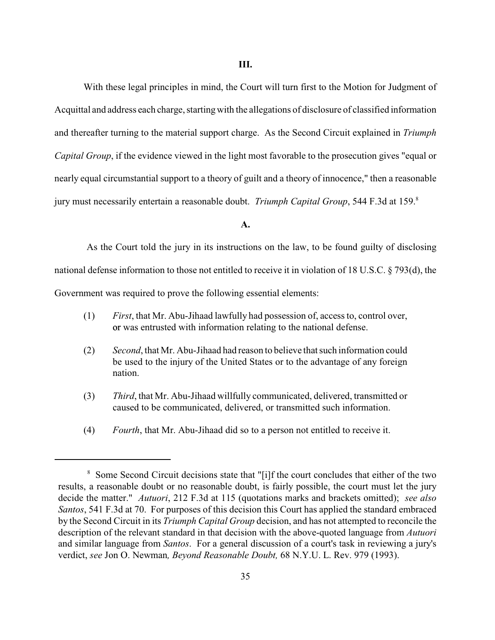With these legal principles in mind, the Court will turn first to the Motion for Judgment of Acquittal and address each charge, starting with the allegations of disclosure of classified information and thereafter turning to the material support charge. As the Second Circuit explained in *Triumph Capital Group*, if the evidence viewed in the light most favorable to the prosecution gives "equal or nearly equal circumstantial support to a theory of guilt and a theory of innocence," then a reasonable jury must necessarily entertain a reasonable doubt. *Triumph Capital Group*, 544 F.3d at 159.<sup>8</sup>

# **A.**

 As the Court told the jury in its instructions on the law, to be found guilty of disclosing national defense information to those not entitled to receive it in violation of 18 U.S.C. § 793(d), the Government was required to prove the following essential elements:

- (1) *First*, that Mr. Abu-Jihaad lawfully had possession of, access to, control over, or was entrusted with information relating to the national defense.
- (2) *Second*, that Mr. Abu-Jihaad had reason to believe that such information could be used to the injury of the United States or to the advantage of any foreign nation.
- (3) *Third*, that Mr. Abu-Jihaad willfully communicated, delivered, transmitted or caused to be communicated, delivered, or transmitted such information.
- (4) *Fourth*, that Mr. Abu-Jihaad did so to a person not entitled to receive it.

<sup>&</sup>lt;sup>8</sup> Some Second Circuit decisions state that "[i]f the court concludes that either of the two results, a reasonable doubt or no reasonable doubt, is fairly possible, the court must let the jury decide the matter." *Autuori*, 212 F.3d at 115 (quotations marks and brackets omitted); *see also Santos*, 541 F.3d at 70. For purposes of this decision this Court has applied the standard embraced by the Second Circuit in its *Triumph Capital Group* decision, and has not attempted to reconcile the description of the relevant standard in that decision with the above-quoted language from *Autuori* and similar language from *Santos*. For a general discussion of a court's task in reviewing a jury's verdict, *see* Jon O. Newman*, Beyond Reasonable Doubt,* 68 N.Y.U. L. Rev. 979 (1993).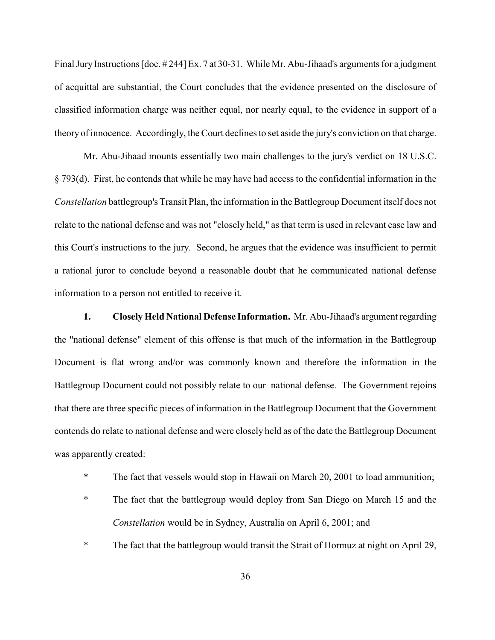Final Jury Instructions [doc. # 244] Ex. 7 at 30-31. While Mr. Abu-Jihaad's arguments for a judgment of acquittal are substantial, the Court concludes that the evidence presented on the disclosure of classified information charge was neither equal, nor nearly equal, to the evidence in support of a theory of innocence. Accordingly, the Court declines to set aside the jury's conviction on that charge.

Mr. Abu-Jihaad mounts essentially two main challenges to the jury's verdict on 18 U.S.C. § 793(d). First, he contends that while he may have had access to the confidential information in the *Constellation* battlegroup's Transit Plan, the information in the Battlegroup Document itself does not relate to the national defense and was not "closely held," as that term is used in relevant case law and this Court's instructions to the jury. Second, he argues that the evidence was insufficient to permit a rational juror to conclude beyond a reasonable doubt that he communicated national defense information to a person not entitled to receive it.

**1. Closely Held National Defense Information.** Mr. Abu-Jihaad's argument regarding the "national defense" element of this offense is that much of the information in the Battlegroup Document is flat wrong and/or was commonly known and therefore the information in the Battlegroup Document could not possibly relate to our national defense. The Government rejoins that there are three specific pieces of information in the Battlegroup Document that the Government contends do relate to national defense and were closely held as of the date the Battlegroup Document was apparently created:

- \* The fact that vessels would stop in Hawaii on March 20, 2001 to load ammunition;
- \* The fact that the battlegroup would deploy from San Diego on March 15 and the *Constellation* would be in Sydney, Australia on April 6, 2001; and
- \* The fact that the battlegroup would transit the Strait of Hormuz at night on April 29,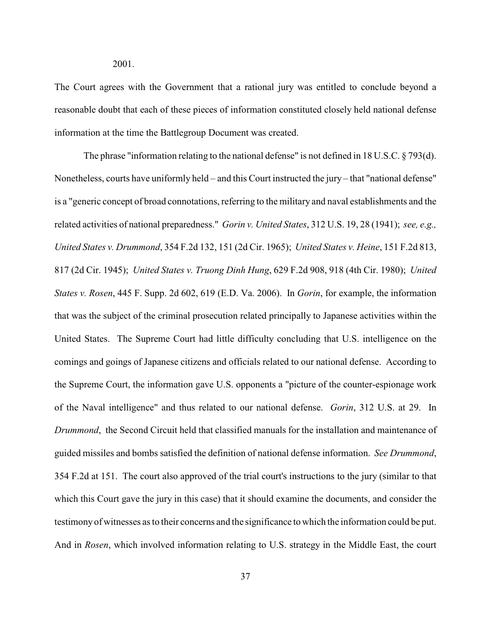The Court agrees with the Government that a rational jury was entitled to conclude beyond a reasonable doubt that each of these pieces of information constituted closely held national defense information at the time the Battlegroup Document was created.

The phrase "information relating to the national defense" is not defined in 18 U.S.C. § 793(d). Nonetheless, courts have uniformly held – and this Court instructed the jury – that "national defense" is a "generic concept of broad connotations, referring to the military and naval establishments and the related activities of national preparedness." *Gorin v. United States*, 312 U.S. 19, 28 (1941); *see, e.g., United States v. Drummond*, 354 F.2d 132, 151 (2d Cir. 1965); *United States v. Heine*, 151 F.2d 813, 817 (2d Cir. 1945); *United States v. Truong Dinh Hung*, 629 F.2d 908, 918 (4th Cir. 1980); *United States v. Rosen*, 445 F. Supp. 2d 602, 619 (E.D. Va. 2006). In *Gorin*, for example, the information that was the subject of the criminal prosecution related principally to Japanese activities within the United States. The Supreme Court had little difficulty concluding that U.S. intelligence on the comings and goings of Japanese citizens and officials related to our national defense. According to the Supreme Court, the information gave U.S. opponents a "picture of the counter-espionage work of the Naval intelligence" and thus related to our national defense. *Gorin*, 312 U.S. at 29. In *Drummond*, the Second Circuit held that classified manuals for the installation and maintenance of guided missiles and bombs satisfied the definition of national defense information. *See Drummond*, 354 F.2d at 151. The court also approved of the trial court's instructions to the jury (similar to that which this Court gave the jury in this case) that it should examine the documents, and consider the testimony of witnesses as to their concerns and the significance to which the information could be put. And in *Rosen*, which involved information relating to U.S. strategy in the Middle East, the court

2001.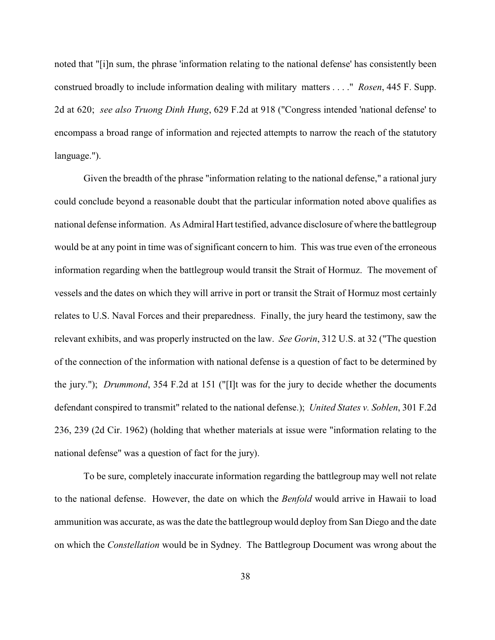noted that "[i]n sum, the phrase 'information relating to the national defense' has consistently been construed broadly to include information dealing with military matters . . . ." *Rosen*, 445 F. Supp. 2d at 620; *see also Truong Dinh Hung*, 629 F.2d at 918 ("Congress intended 'national defense' to encompass a broad range of information and rejected attempts to narrow the reach of the statutory language.").

Given the breadth of the phrase "information relating to the national defense," a rational jury could conclude beyond a reasonable doubt that the particular information noted above qualifies as national defense information. As Admiral Hart testified, advance disclosure of where the battlegroup would be at any point in time was of significant concern to him. This was true even of the erroneous information regarding when the battlegroup would transit the Strait of Hormuz. The movement of vessels and the dates on which they will arrive in port or transit the Strait of Hormuz most certainly relates to U.S. Naval Forces and their preparedness. Finally, the jury heard the testimony, saw the relevant exhibits, and was properly instructed on the law. *See Gorin*, 312 U.S. at 32 ("The question of the connection of the information with national defense is a question of fact to be determined by the jury."); *Drummond*, 354 F.2d at 151 ("[I]t was for the jury to decide whether the documents defendant conspired to transmit" related to the national defense.); *United States v. Soblen*, 301 F.2d 236, 239 (2d Cir. 1962) (holding that whether materials at issue were "information relating to the national defense" was a question of fact for the jury).

To be sure, completely inaccurate information regarding the battlegroup may well not relate to the national defense. However, the date on which the *Benfold* would arrive in Hawaii to load ammunition was accurate, as was the date the battlegroup would deploy from San Diego and the date on which the *Constellation* would be in Sydney. The Battlegroup Document was wrong about the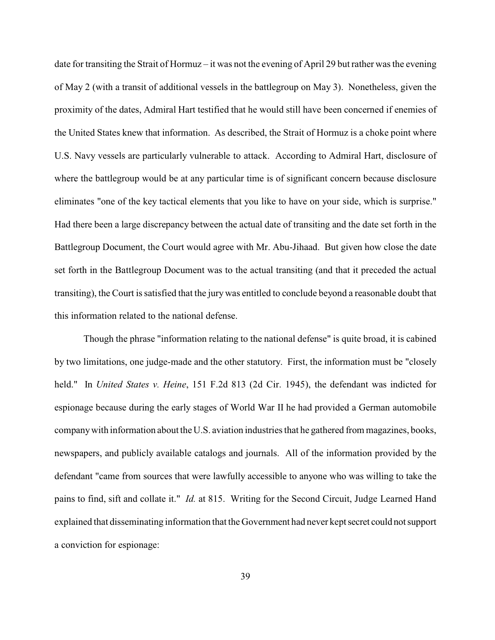date for transiting the Strait of Hormuz – it was not the evening of April 29 but rather was the evening of May 2 (with a transit of additional vessels in the battlegroup on May 3). Nonetheless, given the proximity of the dates, Admiral Hart testified that he would still have been concerned if enemies of the United States knew that information. As described, the Strait of Hormuz is a choke point where U.S. Navy vessels are particularly vulnerable to attack. According to Admiral Hart, disclosure of where the battlegroup would be at any particular time is of significant concern because disclosure eliminates "one of the key tactical elements that you like to have on your side, which is surprise." Had there been a large discrepancy between the actual date of transiting and the date set forth in the Battlegroup Document, the Court would agree with Mr. Abu-Jihaad. But given how close the date set forth in the Battlegroup Document was to the actual transiting (and that it preceded the actual transiting), the Court is satisfied that the jury was entitled to conclude beyond a reasonable doubt that this information related to the national defense.

Though the phrase "information relating to the national defense" is quite broad, it is cabined by two limitations, one judge-made and the other statutory. First, the information must be "closely held." In *United States v. Heine*, 151 F.2d 813 (2d Cir. 1945), the defendant was indicted for espionage because during the early stages of World War II he had provided a German automobile company with information about theU.S. aviation industries that he gathered from magazines, books, newspapers, and publicly available catalogs and journals. All of the information provided by the defendant "came from sources that were lawfully accessible to anyone who was willing to take the pains to find, sift and collate it." *Id.* at 815. Writing for the Second Circuit, Judge Learned Hand explained that disseminating information that the Government had never kept secret could not support a conviction for espionage: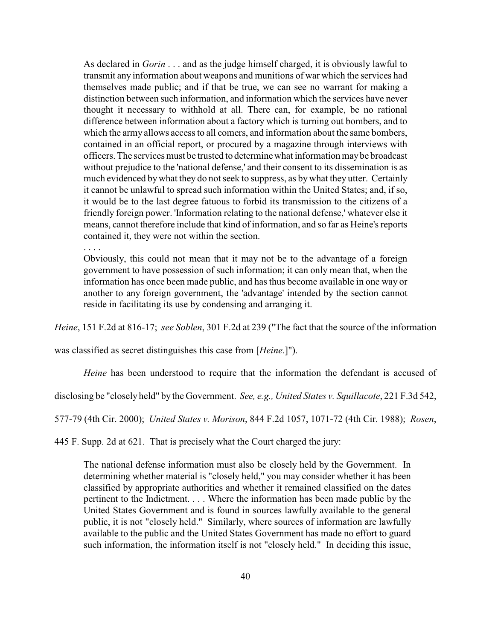As declared in *Gorin* . . . and as the judge himself charged, it is obviously lawful to transmit any information about weapons and munitions of war which the services had themselves made public; and if that be true, we can see no warrant for making a distinction between such information, and information which the services have never thought it necessary to withhold at all. There can, for example, be no rational difference between information about a factory which is turning out bombers, and to which the army allows access to all comers, and information about the same bombers, contained in an official report, or procured by a magazine through interviews with officers. The services must be trusted to determine what information may be broadcast without prejudice to the 'national defense,' and their consent to its dissemination is as much evidenced bywhat they do not seek to suppress, as by what they utter. Certainly it cannot be unlawful to spread such information within the United States; and, if so, it would be to the last degree fatuous to forbid its transmission to the citizens of a friendly foreign power. 'Information relating to the national defense,' whatever else it means, cannot therefore include that kind of information, and so far as Heine's reports contained it, they were not within the section.

. . . .

Obviously, this could not mean that it may not be to the advantage of a foreign government to have possession of such information; it can only mean that, when the information has once been made public, and has thus become available in one way or another to any foreign government, the 'advantage' intended by the section cannot reside in facilitating its use by condensing and arranging it.

*Heine*, 151 F.2d at 816-17; *see Soblen*, 301 F.2d at 239 ("The fact that the source of the information

was classified as secret distinguishes this case from [*Heine*.]").

*Heine* has been understood to require that the information the defendant is accused of

disclosing be "closely held" by the Government. *See, e.g., United States v. Squillacote*, 221 F.3d 542,

577-79 (4th Cir. 2000); *United States v. Morison*, 844 F.2d 1057, 1071-72 (4th Cir. 1988); *Rosen*,

445 F. Supp. 2d at 621. That is precisely what the Court charged the jury:

The national defense information must also be closely held by the Government. In determining whether material is "closely held," you may consider whether it has been classified by appropriate authorities and whether it remained classified on the dates pertinent to the Indictment. . . . Where the information has been made public by the United States Government and is found in sources lawfully available to the general public, it is not "closely held." Similarly, where sources of information are lawfully available to the public and the United States Government has made no effort to guard such information, the information itself is not "closely held." In deciding this issue,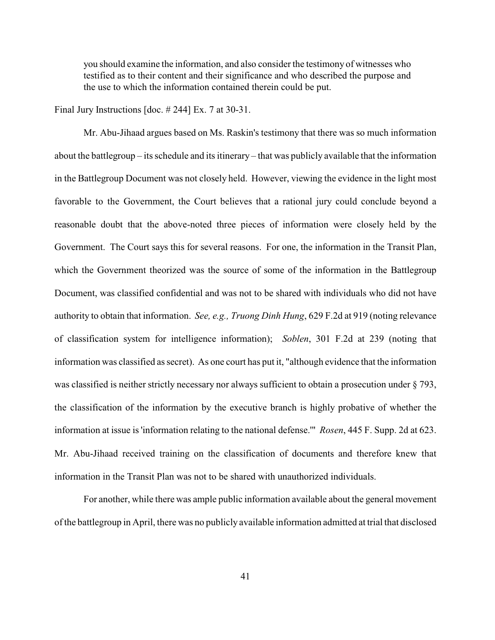you should examine the information, and also consider the testimony of witnesses who testified as to their content and their significance and who described the purpose and the use to which the information contained therein could be put.

Final Jury Instructions [doc. # 244] Ex. 7 at 30-31.

Mr. Abu-Jihaad argues based on Ms. Raskin's testimony that there was so much information about the battlegroup – its schedule and its itinerary – that was publicly available that the information in the Battlegroup Document was not closely held. However, viewing the evidence in the light most favorable to the Government, the Court believes that a rational jury could conclude beyond a reasonable doubt that the above-noted three pieces of information were closely held by the Government. The Court says this for several reasons. For one, the information in the Transit Plan, which the Government theorized was the source of some of the information in the Battlegroup Document, was classified confidential and was not to be shared with individuals who did not have authority to obtain that information. *See, e.g., Truong Dinh Hung*, 629 F.2d at 919 (noting relevance of classification system for intelligence information); *Soblen*, 301 F.2d at 239 (noting that information was classified as secret). As one court has put it, "although evidence that the information was classified is neither strictly necessary nor always sufficient to obtain a prosecution under § 793, the classification of the information by the executive branch is highly probative of whether the information at issue is 'information relating to the national defense.'" *Rosen*, 445 F. Supp. 2d at 623. Mr. Abu-Jihaad received training on the classification of documents and therefore knew that information in the Transit Plan was not to be shared with unauthorized individuals.

For another, while there was ample public information available about the general movement of the battlegroup in April, there was no publicly available information admitted at trial that disclosed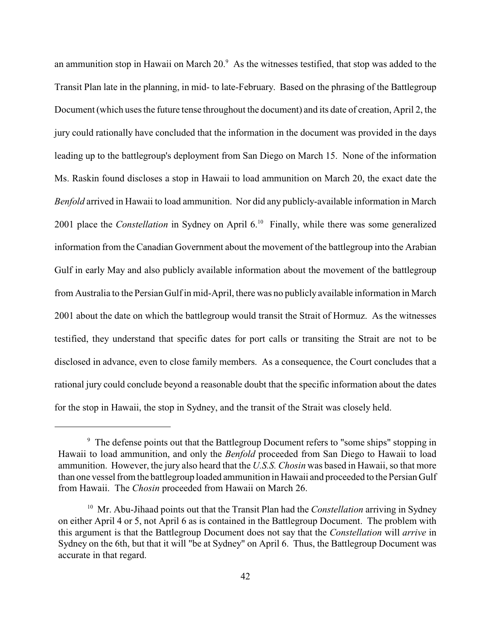an ammunition stop in Hawaii on March  $20<sup>9</sup>$ . As the witnesses testified, that stop was added to the Transit Plan late in the planning, in mid- to late-February. Based on the phrasing of the Battlegroup Document (which uses the future tense throughout the document) and its date of creation, April 2, the jury could rationally have concluded that the information in the document was provided in the days leading up to the battlegroup's deployment from San Diego on March 15. None of the information Ms. Raskin found discloses a stop in Hawaii to load ammunition on March 20, the exact date the *Benfold* arrived in Hawaii to load ammunition. Nor did any publicly-available information in March 2001 place the *Constellation* in Sydney on April 6.<sup>10</sup> Finally, while there was some generalized information from the Canadian Government about the movement of the battlegroup into the Arabian Gulf in early May and also publicly available information about the movement of the battlegroup from Australia to the Persian Gulf in mid-April, there was no publicly available information in March 2001 about the date on which the battlegroup would transit the Strait of Hormuz. As the witnesses testified, they understand that specific dates for port calls or transiting the Strait are not to be disclosed in advance, even to close family members. As a consequence, the Court concludes that a rational jury could conclude beyond a reasonable doubt that the specific information about the dates for the stop in Hawaii, the stop in Sydney, and the transit of the Strait was closely held.

 $\degree$  The defense points out that the Battlegroup Document refers to "some ships" stopping in Hawaii to load ammunition, and only the *Benfold* proceeded from San Diego to Hawaii to load ammunition. However, the jury also heard that the *U.S.S. Chosin* was based in Hawaii, so that more than one vessel from the battlegroup loaded ammunition in Hawaii and proceeded to the Persian Gulf from Hawaii. The *Chosin* proceeded from Hawaii on March 26.

<sup>&</sup>lt;sup>10</sup> Mr. Abu-Jihaad points out that the Transit Plan had the *Constellation* arriving in Sydney on either April 4 or 5, not April 6 as is contained in the Battlegroup Document. The problem with this argument is that the Battlegroup Document does not say that the *Constellation* will *arrive* in Sydney on the 6th, but that it will "be at Sydney" on April 6. Thus, the Battlegroup Document was accurate in that regard.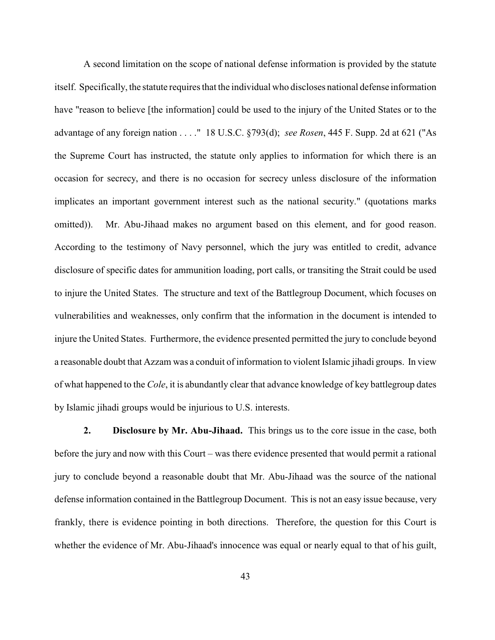A second limitation on the scope of national defense information is provided by the statute itself. Specifically, the statute requires that the individual who discloses national defense information have "reason to believe [the information] could be used to the injury of the United States or to the advantage of any foreign nation . . . ." 18 U.S.C. §793(d); *see Rosen*, 445 F. Supp. 2d at 621 ("As the Supreme Court has instructed, the statute only applies to information for which there is an occasion for secrecy, and there is no occasion for secrecy unless disclosure of the information implicates an important government interest such as the national security." (quotations marks omitted)). Mr. Abu-Jihaad makes no argument based on this element, and for good reason. According to the testimony of Navy personnel, which the jury was entitled to credit, advance disclosure of specific dates for ammunition loading, port calls, or transiting the Strait could be used to injure the United States. The structure and text of the Battlegroup Document, which focuses on vulnerabilities and weaknesses, only confirm that the information in the document is intended to injure the United States. Furthermore, the evidence presented permitted the jury to conclude beyond a reasonable doubt that Azzam was a conduit of information to violent Islamic jihadi groups. In view of what happened to the *Cole*, it is abundantly clear that advance knowledge of key battlegroup dates by Islamic jihadi groups would be injurious to U.S. interests.

**2. Disclosure by Mr. Abu-Jihaad.** This brings us to the core issue in the case, both before the jury and now with this Court – was there evidence presented that would permit a rational jury to conclude beyond a reasonable doubt that Mr. Abu-Jihaad was the source of the national defense information contained in the Battlegroup Document. This is not an easy issue because, very frankly, there is evidence pointing in both directions. Therefore, the question for this Court is whether the evidence of Mr. Abu-Jihaad's innocence was equal or nearly equal to that of his guilt,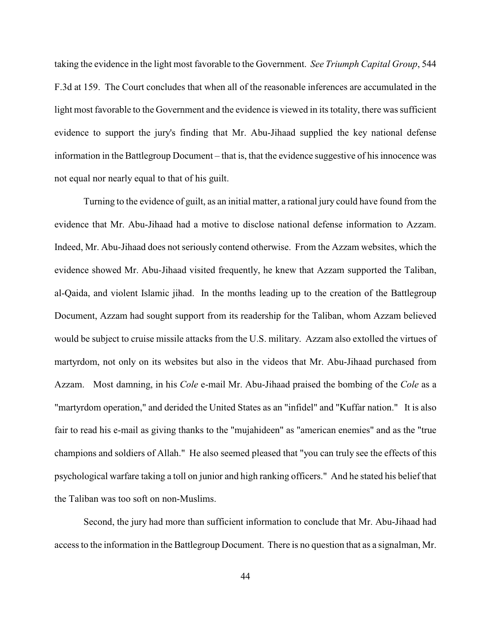taking the evidence in the light most favorable to the Government. *See Triumph Capital Group*, 544 F.3d at 159. The Court concludes that when all of the reasonable inferences are accumulated in the light most favorable to the Government and the evidence is viewed in its totality, there was sufficient evidence to support the jury's finding that Mr. Abu-Jihaad supplied the key national defense information in the Battlegroup Document – that is, that the evidence suggestive of his innocence was not equal nor nearly equal to that of his guilt.

Turning to the evidence of guilt, as an initial matter, a rational jury could have found from the evidence that Mr. Abu-Jihaad had a motive to disclose national defense information to Azzam. Indeed, Mr. Abu-Jihaad does not seriously contend otherwise. From the Azzam websites, which the evidence showed Mr. Abu-Jihaad visited frequently, he knew that Azzam supported the Taliban, al-Qaida, and violent Islamic jihad. In the months leading up to the creation of the Battlegroup Document, Azzam had sought support from its readership for the Taliban, whom Azzam believed would be subject to cruise missile attacks from the U.S. military. Azzam also extolled the virtues of martyrdom, not only on its websites but also in the videos that Mr. Abu-Jihaad purchased from Azzam. Most damning, in his *Cole* e-mail Mr. Abu-Jihaad praised the bombing of the *Cole* as a "martyrdom operation," and derided the United States as an "infidel" and "Kuffar nation." It is also fair to read his e-mail as giving thanks to the "mujahideen" as "american enemies" and as the "true champions and soldiers of Allah." He also seemed pleased that "you can truly see the effects of this psychological warfare taking a toll on junior and high ranking officers." And he stated his belief that the Taliban was too soft on non-Muslims.

Second, the jury had more than sufficient information to conclude that Mr. Abu-Jihaad had access to the information in the Battlegroup Document. There is no question that as a signalman, Mr.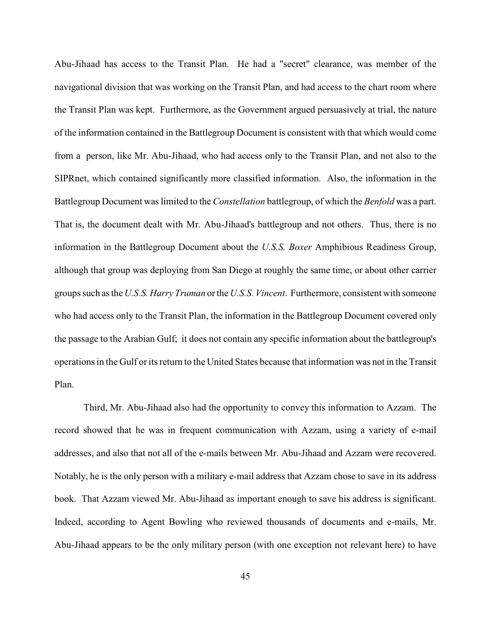Abu-Jihaad has access to the Transit Plan. He had a "secret" clearance, was member of the navigational division that was working on the Transit Plan, and had access to the chart room where the Transit Plan was kept. Furthermore, as the Government argued persuasively at trial, the nature of the information contained in the Battlegroup Document is consistent with that which would come from a person, like Mr. Abu-Jihaad, who had access only to the Transit Plan, and not also to the SIPRnet, which contained significantly more classified information. Also, the information in the Battlegroup Document was limited to the *Constellation* battlegroup, of which the *Benfold* was a part. That is, the document dealt with Mr. Abu-Jihaad's battlegroup and not others. Thus, there is no information in the Battlegroup Document about the *U.S.S. Boxer* Amphibious Readiness Group, although that group was deploying from San Diego at roughly the same time, or about other carrier groups such as the*U.S.S. Harry Truman* or the *U.S.S. Vincent*. Furthermore, consistent with someone who had access only to the Transit Plan, the information in the Battlegroup Document covered only the passage to the Arabian Gulf; it does not contain any specific information about the battlegroup's operations in the Gulf or its return to the United States because that information was not in the Transit Plan.

Third, Mr. Abu-Jihaad also had the opportunity to convey this information to Azzam. The record showed that he was in frequent communication with Azzam, using a variety of e-mail addresses, and also that not all of the e-mails between Mr. Abu-Jihaad and Azzam were recovered. Notably, he is the only person with a military e-mail address that Azzam chose to save in its address book. That Azzam viewed Mr. Abu-Jihaad as important enough to save his address is significant. Indeed, according to Agent Bowling who reviewed thousands of documents and e-mails, Mr. Abu-Jihaad appears to be the only military person (with one exception not relevant here) to have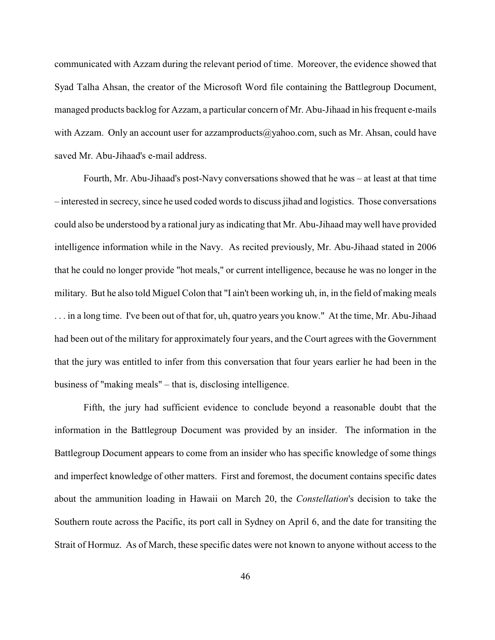communicated with Azzam during the relevant period of time. Moreover, the evidence showed that Syad Talha Ahsan, the creator of the Microsoft Word file containing the Battlegroup Document, managed products backlog for Azzam, a particular concern of Mr. Abu-Jihaad in his frequent e-mails with Azzam. Only an account user for [azzamproducts@yahoo.com, such as Mr. Ahsan,](mailto:azzamproducts@yahoo.com) could have saved Mr. Abu-Jihaad's e-mail address.

Fourth, Mr. Abu-Jihaad's post-Navy conversations showed that he was – at least at that time – interested in secrecy, since he used coded words to discuss jihad and logistics. Those conversations could also be understood by a rational jury as indicating that Mr. Abu-Jihaad may well have provided intelligence information while in the Navy. As recited previously, Mr. Abu-Jihaad stated in 2006 that he could no longer provide "hot meals," or current intelligence, because he was no longer in the military. But he also told Miguel Colon that "I ain't been working uh, in, in the field of making meals . . . in a long time. I've been out of that for, uh, quatro years you know." At the time, Mr. Abu-Jihaad had been out of the military for approximately four years, and the Court agrees with the Government that the jury was entitled to infer from this conversation that four years earlier he had been in the business of "making meals" – that is, disclosing intelligence.

Fifth, the jury had sufficient evidence to conclude beyond a reasonable doubt that the information in the Battlegroup Document was provided by an insider. The information in the Battlegroup Document appears to come from an insider who has specific knowledge of some things and imperfect knowledge of other matters. First and foremost, the document contains specific dates about the ammunition loading in Hawaii on March 20, the *Constellation*'s decision to take the Southern route across the Pacific, its port call in Sydney on April 6, and the date for transiting the Strait of Hormuz. As of March, these specific dates were not known to anyone without access to the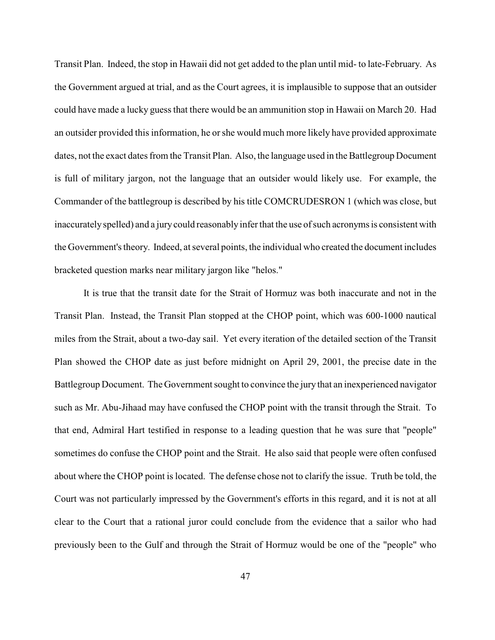Transit Plan. Indeed, the stop in Hawaii did not get added to the plan until mid- to late-February. As the Government argued at trial, and as the Court agrees, it is implausible to suppose that an outsider could have made a lucky guess that there would be an ammunition stop in Hawaii on March 20. Had an outsider provided this information, he or she would much more likely have provided approximate dates, not the exact dates from the Transit Plan. Also, the language used in the Battlegroup Document is full of military jargon, not the language that an outsider would likely use. For example, the Commander of the battlegroup is described by his title COMCRUDESRON 1 (which was close, but inaccurately spelled) and a jury could reasonably infer that the use of such acronyms is consistent with the Government's theory. Indeed, at several points, the individual who created the document includes bracketed question marks near military jargon like "helos."

It is true that the transit date for the Strait of Hormuz was both inaccurate and not in the Transit Plan. Instead, the Transit Plan stopped at the CHOP point, which was 600-1000 nautical miles from the Strait, about a two-day sail. Yet every iteration of the detailed section of the Transit Plan showed the CHOP date as just before midnight on April 29, 2001, the precise date in the Battlegroup Document. The Government sought to convince the jury that an inexperienced navigator such as Mr. Abu-Jihaad may have confused the CHOP point with the transit through the Strait. To that end, Admiral Hart testified in response to a leading question that he was sure that "people" sometimes do confuse the CHOP point and the Strait. He also said that people were often confused about where the CHOP point is located. The defense chose not to clarify the issue. Truth be told, the Court was not particularly impressed by the Government's efforts in this regard, and it is not at all clear to the Court that a rational juror could conclude from the evidence that a sailor who had previously been to the Gulf and through the Strait of Hormuz would be one of the "people" who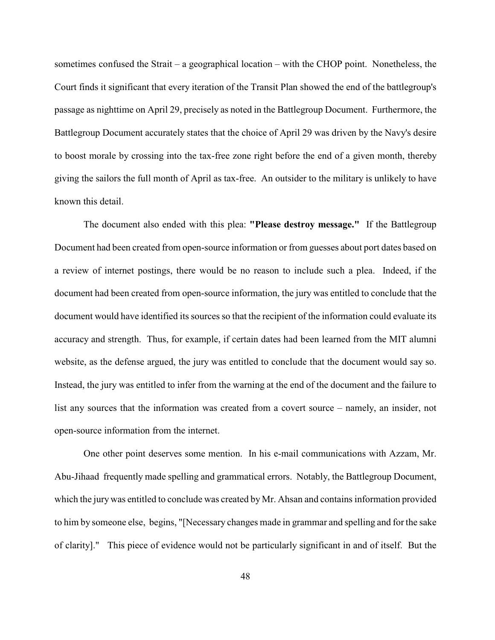sometimes confused the Strait – a geographical location – with the CHOP point. Nonetheless, the Court finds it significant that every iteration of the Transit Plan showed the end of the battlegroup's passage as nighttime on April 29, precisely as noted in the Battlegroup Document. Furthermore, the Battlegroup Document accurately states that the choice of April 29 was driven by the Navy's desire to boost morale by crossing into the tax-free zone right before the end of a given month, thereby giving the sailors the full month of April as tax-free. An outsider to the military is unlikely to have known this detail.

The document also ended with this plea: **"Please destroy message."** If the Battlegroup Document had been created from open-source information or from guesses about port dates based on a review of internet postings, there would be no reason to include such a plea. Indeed, if the document had been created from open-source information, the jury was entitled to conclude that the document would have identified its sources so that the recipient of the information could evaluate its accuracy and strength. Thus, for example, if certain dates had been learned from the MIT alumni website, as the defense argued, the jury was entitled to conclude that the document would say so. Instead, the jury was entitled to infer from the warning at the end of the document and the failure to list any sources that the information was created from a covert source – namely, an insider, not open-source information from the internet.

One other point deserves some mention. In his e-mail communications with Azzam, Mr. Abu-Jihaad frequently made spelling and grammatical errors. Notably, the Battlegroup Document, which the jury was entitled to conclude was created by Mr. Ahsan and contains information provided to him by someone else, begins, "[Necessary changes made in grammar and spelling and for the sake of clarity]." This piece of evidence would not be particularly significant in and of itself. But the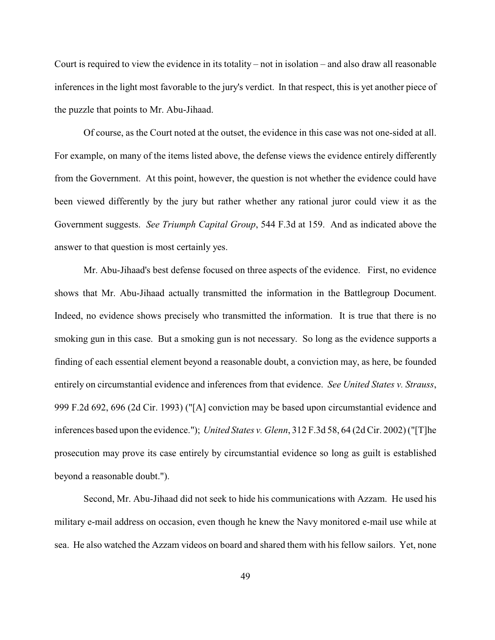Court is required to view the evidence in its totality – not in isolation – and also draw all reasonable inferences in the light most favorable to the jury's verdict. In that respect, this is yet another piece of the puzzle that points to Mr. Abu-Jihaad.

Of course, as the Court noted at the outset, the evidence in this case was not one-sided at all. For example, on many of the items listed above, the defense views the evidence entirely differently from the Government. At this point, however, the question is not whether the evidence could have been viewed differently by the jury but rather whether any rational juror could view it as the Government suggests. *See Triumph Capital Group*, 544 F.3d at 159. And as indicated above the answer to that question is most certainly yes.

Mr. Abu-Jihaad's best defense focused on three aspects of the evidence. First, no evidence shows that Mr. Abu-Jihaad actually transmitted the information in the Battlegroup Document. Indeed, no evidence shows precisely who transmitted the information. It is true that there is no smoking gun in this case. But a smoking gun is not necessary. So long as the evidence supports a finding of each essential element beyond a reasonable doubt, a conviction may, as here, be founded entirely on circumstantial evidence and inferences from that evidence. *See United States v. Strauss*, 999 F.2d 692, 696 (2d Cir. 1993) ("[A] conviction may be based upon circumstantial evidence and inferences based upon the evidence."); *United States v. Glenn*, 312 F.3d 58, 64 (2d Cir. 2002) ("[T]he prosecution may prove its case entirely by circumstantial evidence so long as guilt is established beyond a reasonable doubt.").

Second, Mr. Abu-Jihaad did not seek to hide his communications with Azzam. He used his military e-mail address on occasion, even though he knew the Navy monitored e-mail use while at sea. He also watched the Azzam videos on board and shared them with his fellow sailors. Yet, none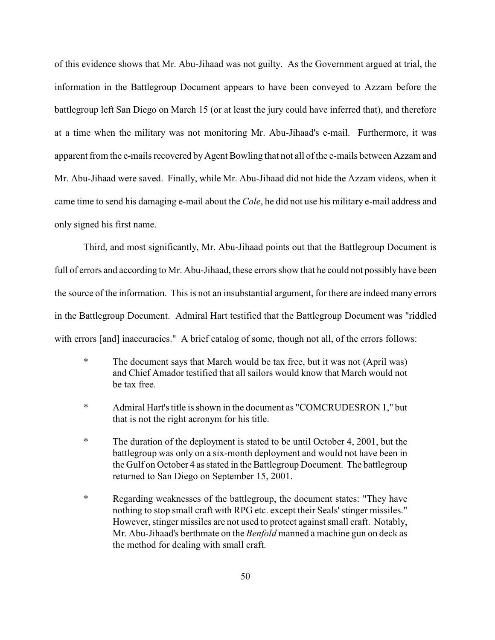of this evidence shows that Mr. Abu-Jihaad was not guilty. As the Government argued at trial, the information in the Battlegroup Document appears to have been conveyed to Azzam before the battlegroup left San Diego on March 15 (or at least the jury could have inferred that), and therefore at a time when the military was not monitoring Mr. Abu-Jihaad's e-mail. Furthermore, it was apparent from the e-mails recovered by Agent Bowling that not all of the e-mails between Azzam and Mr. Abu-Jihaad were saved. Finally, while Mr. Abu-Jihaad did not hide the Azzam videos, when it came time to send his damaging e-mail about the *Cole*, he did not use his military e-mail address and only signed his first name.

Third, and most significantly, Mr. Abu-Jihaad points out that the Battlegroup Document is full of errors and according to Mr. Abu-Jihaad, these errors show that he could not possibly have been the source of the information. This is not an insubstantial argument, for there are indeed many errors in the Battlegroup Document. Admiral Hart testified that the Battlegroup Document was "riddled with errors [and] inaccuracies." A brief catalog of some, though not all, of the errors follows:

- \* The document says that March would be tax free, but it was not (April was) and Chief Amador testified that all sailors would know that March would not be tax free.
- \* Admiral Hart's title is shown in the document as "COMCRUDESRON 1," but that is not the right acronym for his title.
- \* The duration of the deployment is stated to be until October 4, 2001, but the battlegroup was only on a six-month deployment and would not have been in the Gulf on October 4 as stated in the Battlegroup Document. The battlegroup returned to San Diego on September 15, 2001.
- \* Regarding weaknesses of the battlegroup, the document states: "They have nothing to stop small craft with RPG etc. except their Seals' stinger missiles." However, stinger missiles are not used to protect against small craft. Notably, Mr. Abu-Jihaad's berthmate on the *Benfold* manned a machine gun on deck as the method for dealing with small craft.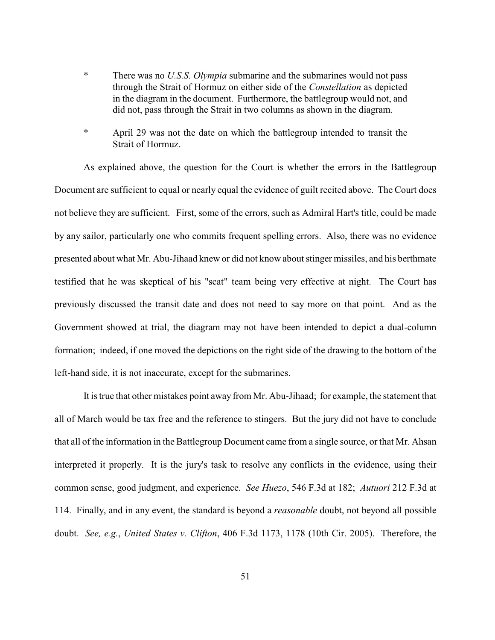- \* There was no *U.S.S. Olympia* submarine and the submarines would not pass through the Strait of Hormuz on either side of the *Constellation* as depicted in the diagram in the document. Furthermore, the battlegroup would not, and did not, pass through the Strait in two columns as shown in the diagram.
- \* April 29 was not the date on which the battlegroup intended to transit the Strait of Hormuz.

As explained above, the question for the Court is whether the errors in the Battlegroup Document are sufficient to equal or nearly equal the evidence of guilt recited above. The Court does not believe they are sufficient. First, some of the errors, such as Admiral Hart's title, could be made by any sailor, particularly one who commits frequent spelling errors. Also, there was no evidence presented about what Mr. Abu-Jihaad knew or did not know about stinger missiles, and his berthmate testified that he was skeptical of his "scat" team being very effective at night. The Court has previously discussed the transit date and does not need to say more on that point. And as the Government showed at trial, the diagram may not have been intended to depict a dual-column formation; indeed, if one moved the depictions on the right side of the drawing to the bottom of the left-hand side, it is not inaccurate, except for the submarines.

It is true that other mistakes point away from Mr. Abu-Jihaad; for example, the statement that all of March would be tax free and the reference to stingers. But the jury did not have to conclude that all of the information in the Battlegroup Document came from a single source, or that Mr. Ahsan interpreted it properly. It is the jury's task to resolve any conflicts in the evidence, using their common sense, good judgment, and experience. *See Huezo*, 546 F.3d at 182; *Autuori* 212 F.3d at 114. Finally, and in any event, the standard is beyond a *reasonable* doubt, not beyond all possible doubt. *See, e.g.*, *United States v. Clifton*, 406 F.3d 1173, 1178 (10th Cir. 2005). Therefore, the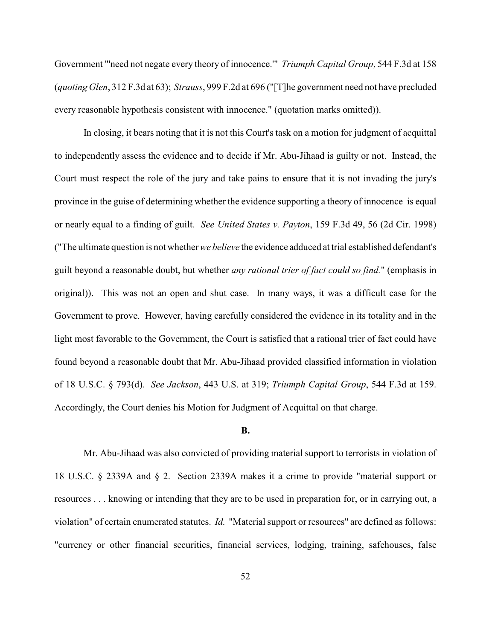Government "'need not negate every theory of innocence.'" *Triumph Capital Group*, 544 F.3d at 158 (*quoting Glen*, 312 F.3d at 63); *Strauss*, 999 F.2d at 696 ("[T]he government need not have precluded every reasonable hypothesis consistent with innocence." (quotation marks omitted)).

In closing, it bears noting that it is not this Court's task on a motion for judgment of acquittal to independently assess the evidence and to decide if Mr. Abu-Jihaad is guilty or not. Instead, the Court must respect the role of the jury and take pains to ensure that it is not invading the jury's province in the guise of determining whether the evidence supporting a theory of innocence is equal or nearly equal to a finding of guilt. *See United States v. Payton*, 159 F.3d 49, 56 (2d Cir. 1998) ("The ultimate question is not whether *we believe* the evidence adduced at trial established defendant's guilt beyond a reasonable doubt, but whether *any rational trier of fact could so find.*" (emphasis in original)). This was not an open and shut case. In many ways, it was a difficult case for the Government to prove. However, having carefully considered the evidence in its totality and in the light most favorable to the Government, the Court is satisfied that a rational trier of fact could have found beyond a reasonable doubt that Mr. Abu-Jihaad provided classified information in violation of 18 U.S.C. § 793(d). *See Jackson*, 443 U.S. at 319; *Triumph Capital Group*, 544 F.3d at 159. Accordingly, the Court denies his Motion for Judgment of Acquittal on that charge.

#### **B.**

Mr. Abu-Jihaad was also convicted of providing material support to terrorists in violation of 18 U.S.C. § 2339A and § 2. Section 2339A makes it a crime to provide "material support or resources . . . knowing or intending that they are to be used in preparation for, or in carrying out, a violation" of certain enumerated statutes. *Id.* "Material support or resources" are defined as follows: "currency or other financial securities, financial services, lodging, training, safehouses, false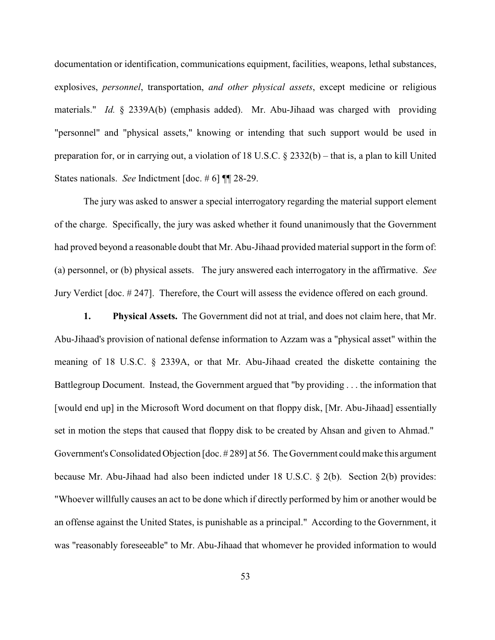documentation or identification, communications equipment, facilities, weapons, lethal substances, explosives, *personnel*, transportation, *and other physical assets*, except medicine or religious materials." *Id.* § 2339A(b) (emphasis added). Mr. Abu-Jihaad was charged with providing "personnel" and "physical assets," knowing or intending that such support would be used in preparation for, or in carrying out, a violation of 18 U.S.C. § 2332(b) – that is, a plan to kill United States nationals. *See* Indictment [doc. # 6] ¶¶ 28-29.

The jury was asked to answer a special interrogatory regarding the material support element of the charge. Specifically, the jury was asked whether it found unanimously that the Government had proved beyond a reasonable doubt that Mr. Abu-Jihaad provided material support in the form of: (a) personnel, or (b) physical assets. The jury answered each interrogatory in the affirmative. *See* Jury Verdict [doc. # 247]. Therefore, the Court will assess the evidence offered on each ground.

**1. Physical Assets.** The Government did not at trial, and does not claim here, that Mr. Abu-Jihaad's provision of national defense information to Azzam was a "physical asset" within the meaning of 18 U.S.C. § 2339A, or that Mr. Abu-Jihaad created the diskette containing the Battlegroup Document. Instead, the Government argued that "by providing . . . the information that [would end up] in the Microsoft Word document on that floppy disk, [Mr. Abu-Jihaad] essentially set in motion the steps that caused that floppy disk to be created by Ahsan and given to Ahmad." Government's Consolidated Objection [doc. # 289] at 56. The Government could make this argument because Mr. Abu-Jihaad had also been indicted under 18 U.S.C. § 2(b). Section 2(b) provides: "Whoever willfully causes an act to be done which if directly performed by him or another would be an offense against the United States, is punishable as a principal." According to the Government, it was "reasonably foreseeable" to Mr. Abu-Jihaad that whomever he provided information to would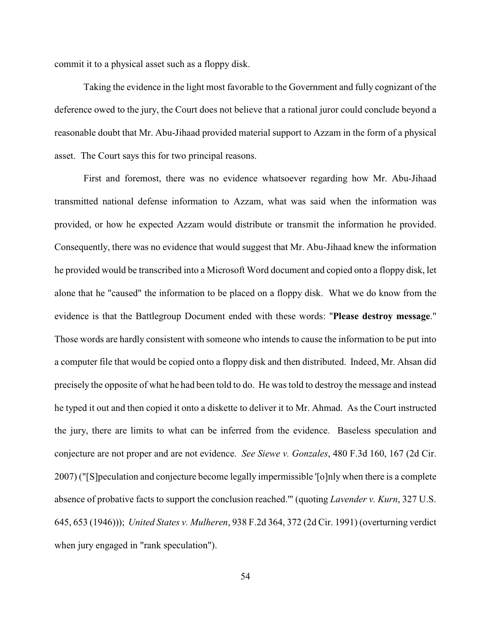commit it to a physical asset such as a floppy disk.

Taking the evidence in the light most favorable to the Government and fully cognizant of the deference owed to the jury, the Court does not believe that a rational juror could conclude beyond a reasonable doubt that Mr. Abu-Jihaad provided material support to Azzam in the form of a physical asset. The Court says this for two principal reasons.

First and foremost, there was no evidence whatsoever regarding how Mr. Abu-Jihaad transmitted national defense information to Azzam, what was said when the information was provided, or how he expected Azzam would distribute or transmit the information he provided. Consequently, there was no evidence that would suggest that Mr. Abu-Jihaad knew the information he provided would be transcribed into a Microsoft Word document and copied onto a floppy disk, let alone that he "caused" the information to be placed on a floppy disk. What we do know from the evidence is that the Battlegroup Document ended with these words: "**Please destroy message**." Those words are hardly consistent with someone who intends to cause the information to be put into a computer file that would be copied onto a floppy disk and then distributed. Indeed, Mr. Ahsan did precisely the opposite of what he had been told to do. He was told to destroy the message and instead he typed it out and then copied it onto a diskette to deliver it to Mr. Ahmad. As the Court instructed the jury, there are limits to what can be inferred from the evidence. Baseless speculation and conjecture are not proper and are not evidence. *See Siewe v. Gonzales*, 480 F.3d 160, 167 (2d Cir. 2007) ("[S]peculation and conjecture become legally impermissible '[o]nly when there is a complete absence of probative facts to support the conclusion reached.'" (quoting *Lavender v. Kurn*, 327 U.S. 645, 653 (1946))); *United States v. Mulheren*, 938 F.2d 364, 372 (2d Cir. 1991) (overturning verdict when jury engaged in "rank speculation").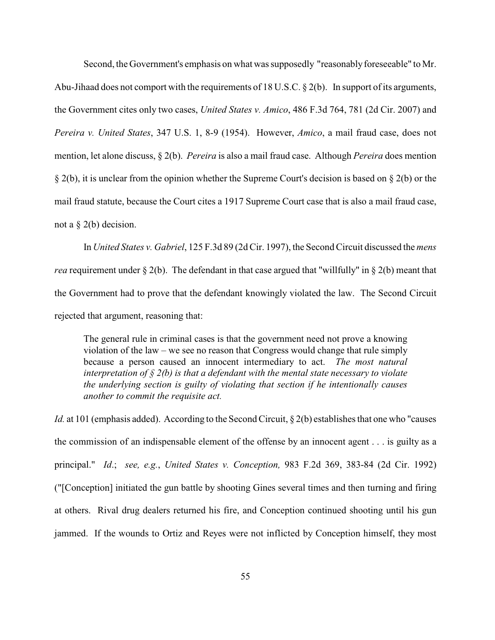Second, the Government's emphasis on what was supposedly "reasonably foreseeable" to Mr. Abu-Jihaad does not comport with the requirements of 18 U.S.C. § 2(b). In support of its arguments, the Government cites only two cases, *United States v. Amico*, 486 F.3d 764, 781 (2d Cir. 2007) and *Pereira v. United States*, 347 U.S. 1, 8-9 (1954). However, *Amico*, a mail fraud case, does not mention, let alone discuss, § 2(b). *Pereira* is also a mail fraud case. Although *Pereira* does mention § 2(b), it is unclear from the opinion whether the Supreme Court's decision is based on § 2(b) or the mail fraud statute, because the Court cites a 1917 Supreme Court case that is also a mail fraud case, not a  $\S$  2(b) decision.

In *United States v. Gabriel*, 125 F.3d 89 (2d Cir. 1997), the Second Circuit discussed the *mens rea* requirement under § 2(b). The defendant in that case argued that "willfully" in § 2(b) meant that the Government had to prove that the defendant knowingly violated the law. The Second Circuit rejected that argument, reasoning that:

The general rule in criminal cases is that the government need not prove a knowing violation of the law – we see no reason that Congress would change that rule simply because a person caused an innocent intermediary to act. *The most natural interpretation of § 2(b) is that a defendant with the mental state necessary to violate the underlying section is guilty of violating that section if he intentionally causes another to commit the requisite act.*

*Id.* at 101 (emphasis added). According to the Second Circuit, § 2(b) establishes that one who "causes" the commission of an indispensable element of the offense by an innocent agent . . . is guilty as a principal." *Id*.; *see, e.g.*, *United States v. Conception,* 983 F.2d 369, 383-84 (2d Cir. 1992) ("[Conception] initiated the gun battle by shooting Gines several times and then turning and firing at others. Rival drug dealers returned his fire, and Conception continued shooting until his gun jammed. If the wounds to Ortiz and Reyes were not inflicted by Conception himself, they most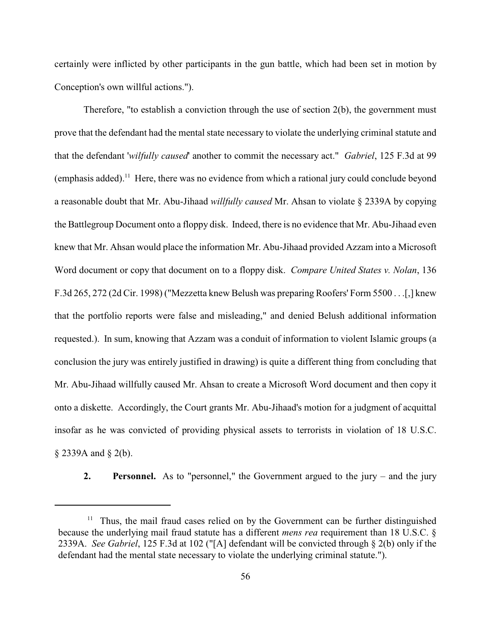certainly were inflicted by other participants in the gun battle, which had been set in motion by Conception's own willful actions.").

Therefore, "to establish a conviction through the use of section 2(b), the government must prove that the defendant had the mental state necessary to violate the underlying criminal statute and that the defendant '*wilfully caused*' another to commit the necessary act." *Gabriel*, 125 F.3d at 99  $(emphasis added).<sup>11</sup>$  Here, there was no evidence from which a rational jury could conclude beyond a reasonable doubt that Mr. Abu-Jihaad *willfully caused* Mr. Ahsan to violate § 2339A by copying the Battlegroup Document onto a floppy disk. Indeed, there is no evidence that Mr. Abu-Jihaad even knew that Mr. Ahsan would place the information Mr. Abu-Jihaad provided Azzam into a Microsoft Word document or copy that document on to a floppy disk. *Compare United States v. Nolan*, 136 F.3d 265, 272 (2d Cir. 1998) ("Mezzetta knew Belush was preparing Roofers' Form 5500 . . .[,] knew that the portfolio reports were false and misleading," and denied Belush additional information requested.). In sum, knowing that Azzam was a conduit of information to violent Islamic groups (a conclusion the jury was entirely justified in drawing) is quite a different thing from concluding that Mr. Abu-Jihaad willfully caused Mr. Ahsan to create a Microsoft Word document and then copy it onto a diskette. Accordingly, the Court grants Mr. Abu-Jihaad's motion for a judgment of acquittal insofar as he was convicted of providing physical assets to terrorists in violation of 18 U.S.C. § 2339A and § 2(b).

**2. Personnel.** As to "personnel," the Government argued to the jury – and the jury

 $11$  Thus, the mail fraud cases relied on by the Government can be further distinguished because the underlying mail fraud statute has a different *mens rea* requirement than 18 U.S.C. § 2339A. *See Gabriel*, 125 F.3d at 102 ("[A] defendant will be convicted through § 2(b) only if the defendant had the mental state necessary to violate the underlying criminal statute.").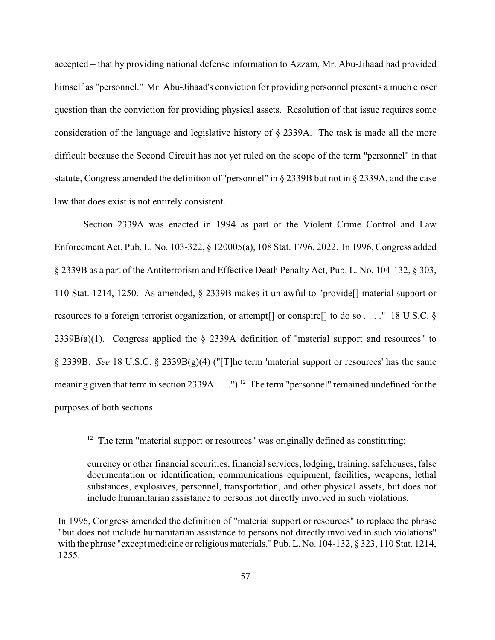accepted – that by providing national defense information to Azzam, Mr. Abu-Jihaad had provided himself as "personnel." Mr. Abu-Jihaad's conviction for providing personnel presents a much closer question than the conviction for providing physical assets. Resolution of that issue requires some consideration of the language and legislative history of § 2339A. The task is made all the more difficult because the Second Circuit has not yet ruled on the scope of the term "personnel" in that statute, Congress amended the definition of "personnel" in § 2339B but not in § 2339A, and the case law that does exist is not entirely consistent.

Section 2339A was enacted in 1994 as part of the Violent Crime Control and Law Enforcement Act, Pub. L. No. 103-322, § 120005(a), 108 Stat. 1796, 2022. In 1996, Congress added § 2339B as a part of the Antiterrorism and Effective Death Penalty Act, Pub. L. No. 104-132, § 303, 110 Stat. 1214, 1250. As amended, § 2339B makes it unlawful to "provide[] material support or resources to a foreign terrorist organization, or attempt[] or conspire[] to do so . . . ." 18 U.S.C. § 2339B(a)(1). Congress applied the § 2339A definition of "material support and resources" to § 2339B. *See* 18 U.S.C. § 2339B(g)(4) ("[T]he term 'material support or resources' has the same meaning given that term in section 2339A . . . . ").<sup>12</sup> The term "personnel" remained undefined for the purposes of both sections.

 $12$  The term "material support or resources" was originally defined as constituting:

currency or other financial securities, financial services, lodging, training, safehouses, false documentation or identification, communications equipment, facilities, weapons, lethal substances, explosives, personnel, transportation, and other physical assets, but does not include humanitarian assistance to persons not directly involved in such violations.

In 1996, Congress amended the definition of "material support or resources" to replace the phrase "but does not include humanitarian assistance to persons not directly involved in such violations" with the phrase "except medicine or religious materials." Pub. L. No. 104-132, § 323, 110 Stat. 1214, 1255.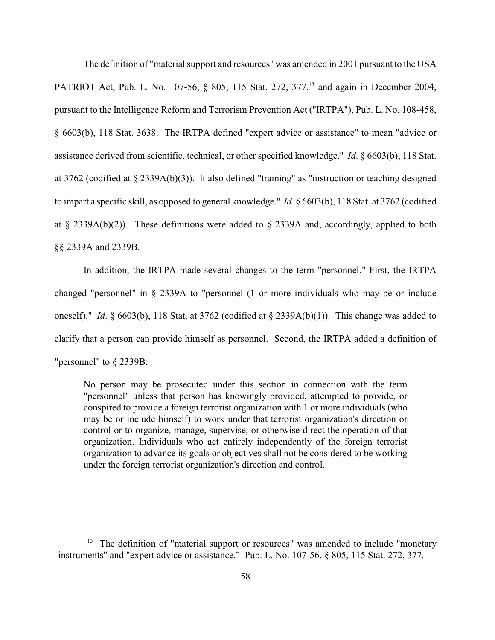The definition of "material support and resources" was amended in 2001 pursuant to the USA PATRIOT Act, Pub. L. No. 107-56, § 805, 115 Stat. 272, 377,<sup>13</sup> and again in December 2004, pursuant to the Intelligence Reform and Terrorism Prevention Act ("IRTPA"), Pub. L. No. 108-458, § 6603(b), 118 Stat. 3638. The IRTPA defined "expert advice or assistance" to mean "advice or assistance derived from scientific, technical, or other specified knowledge." *Id*. § 6603(b), 118 Stat. at 3762 (codified at § 2339A(b)(3)). It also defined "training" as "instruction or teaching designed to impart a specific skill, as opposed to general knowledge." *Id*. § 6603(b), 118 Stat. at 3762 (codified at § 2339A(b)(2)). These definitions were added to § 2339A and, accordingly, applied to both §§ 2339A and 2339B.

In addition, the IRTPA made several changes to the term "personnel." First, the IRTPA changed "personnel" in § 2339A to "personnel (1 or more individuals who may be or include oneself)." *Id*. § 6603(b), 118 Stat. at 3762 (codified at § 2339A(b)(1)). This change was added to clarify that a person can provide himself as personnel. Second, the IRTPA added a definition of "personnel" to § 2339B:

No person may be prosecuted under this section in connection with the term "personnel" unless that person has knowingly provided, attempted to provide, or conspired to provide a foreign terrorist organization with 1 or more individuals (who may be or include himself) to work under that terrorist organization's direction or control or to organize, manage, supervise, or otherwise direct the operation of that organization. Individuals who act entirely independently of the foreign terrorist organization to advance its goals or objectives shall not be considered to be working under the foreign terrorist organization's direction and control.

 $13$  The definition of "material support or resources" was amended to include "monetary instruments" and "expert advice or assistance." Pub. L. No. 107-56, § 805, 115 Stat. 272, 377.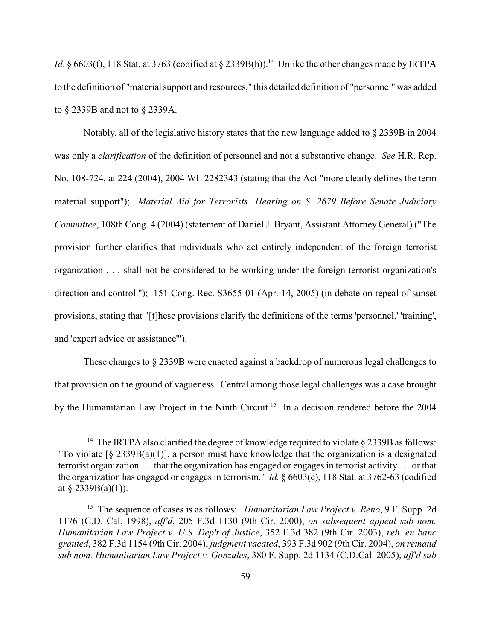*Id*. § 6603(f), 118 Stat. at 3763 (codified at § 2339B(h)).<sup>14</sup> Unlike the other changes made by IRTPA to the definition of "material support and resources," this detailed definition of "personnel" was added to § 2339B and not to § 2339A.

Notably, all of the legislative history states that the new language added to § 2339B in 2004 was only a *clarification* of the definition of personnel and not a substantive change. *See* H.R. Rep. No. 108-724, at 224 (2004), 2004 WL 2282343 (stating that the Act "more clearly defines the term material support"); *Material Aid for Terrorists: Hearing on S. 2679 Before Senate Judiciary Committee*, 108th Cong. 4 (2004) (statement of Daniel J. Bryant, Assistant Attorney General) ("The provision further clarifies that individuals who act entirely independent of the foreign terrorist organization . . . shall not be considered to be working under the foreign terrorist organization's direction and control."); 151 Cong. Rec. S3655-01 (Apr. 14, 2005) (in debate on repeal of sunset provisions, stating that "[t]hese provisions clarify the definitions of the terms 'personnel,' 'training', and 'expert advice or assistance'").

These changes to § 2339B were enacted against a backdrop of numerous legal challenges to that provision on the ground of vagueness. Central among those legal challenges was a case brought by the Humanitarian Law Project in the Ninth Circuit.<sup>15</sup> In a decision rendered before the 2004

<sup>&</sup>lt;sup>14</sup> The IRTPA also clarified the degree of knowledge required to violate  $\S$  2339B as follows: "To violate  $\lceil \S 2339B(a)(1) \rceil$ , a person must have knowledge that the organization is a designated terrorist organization . . . that the organization has engaged or engages in terrorist activity . . . or that the organization has engaged or engages in terrorism." *Id.* § 6603(c), 118 Stat. at 3762-63 (codified at  $§$  2339B(a)(1)).

<sup>&</sup>lt;sup>15</sup> The sequence of cases is as follows: *Humanitarian Law Project v. Reno*, 9 F. Supp. 2d 1176 (C.D. Cal. 1998), *aff'd*, 205 F.3d 1130 (9th Cir. 2000), *on subsequent appeal sub nom. Humanitarian Law Project v. U.S. Dep't of Justice*, 352 F.3d 382 (9th Cir. 2003), *reh. en banc granted*, 382 F.3d 1154 (9th Cir. 2004), *judgment vacated*, 393 F.3d 902 (9th Cir. 2004), *on remand sub nom. Humanitarian Law Project v. Gonzales*, 380 F. Supp. 2d 1134 (C.D.Cal. 2005), *aff'd sub*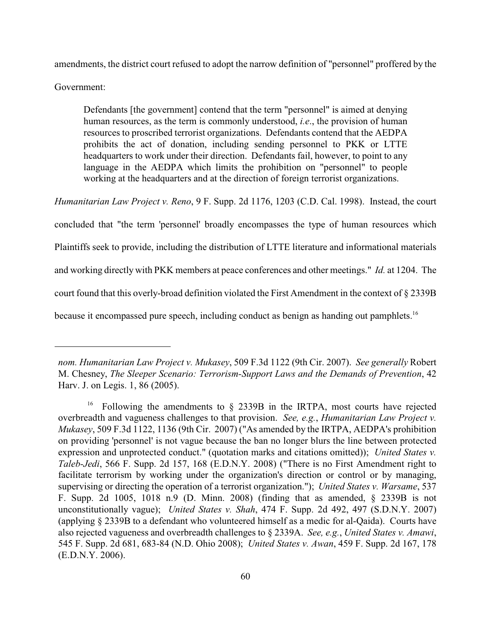amendments, the district court refused to adopt the narrow definition of "personnel" proffered by the

Government:

Defendants [the government] contend that the term "personnel" is aimed at denying human resources, as the term is commonly understood, *i.e*., the provision of human resources to proscribed terrorist organizations. Defendants contend that the AEDPA prohibits the act of donation, including sending personnel to PKK or LTTE headquarters to work under their direction. Defendants fail, however, to point to any language in the AEDPA which limits the prohibition on "personnel" to people working at the headquarters and at the direction of foreign terrorist organizations.

*Humanitarian Law Project v. Reno*, 9 F. Supp. 2d 1176, 1203 (C.D. Cal. 1998). Instead, the court

concluded that "the term 'personnel' broadly encompasses the type of human resources which

Plaintiffs seek to provide, including the distribution of LTTE literature and informational materials

and working directly with PKK members at peace conferences and other meetings." *Id.* at 1204. The

court found that this overly-broad definition violated the First Amendment in the context of § 2339B

because it encompassed pure speech, including conduct as benign as handing out pamphlets.<sup>16</sup>

*nom. Humanitarian Law Project v. Mukasey*, 509 F.3d 1122 (9th Cir. 2007). *See generally* Robert M. Chesney, *The Sleeper Scenario: Terrorism-Support Laws and the Demands of Prevention*, 42 Harv. J. on Legis. 1, 86 (2005).

<sup>&</sup>lt;sup>16</sup> Following the amendments to  $\S$  2339B in the IRTPA, most courts have rejected overbreadth and vagueness challenges to that provision. *See, e.g.*, *Humanitarian Law Project v. Mukasey*, 509 F.3d 1122, 1136 (9th Cir. 2007) ("As amended by the IRTPA, AEDPA's prohibition on providing 'personnel' is not vague because the ban no longer blurs the line between protected expression and unprotected conduct." (quotation marks and citations omitted)); *United States v. Taleb-Jedi*, 566 F. Supp. 2d 157, 168 (E.D.N.Y. 2008) ("There is no First Amendment right to facilitate terrorism by working under the organization's direction or control or by managing, supervising or directing the operation of a terrorist organization."); *United States v. Warsame*, 537 F. Supp. 2d 1005, 1018 n.9 (D. Minn. 2008) (finding that as amended, § 2339B is not unconstitutionally vague); *United States v. Shah*, 474 F. Supp. 2d 492, 497 (S.D.N.Y. 2007) (applying § 2339B to a defendant who volunteered himself as a medic for al-Qaida). Courts have also rejected vagueness and overbreadth challenges to § 2339A. *See, e.g.*, *United States v. Amawi*, 545 F. Supp. 2d 681, 683-84 (N.D. Ohio 2008); *United States v. Awan*, 459 F. Supp. 2d 167, 178 (E.D.N.Y. 2006).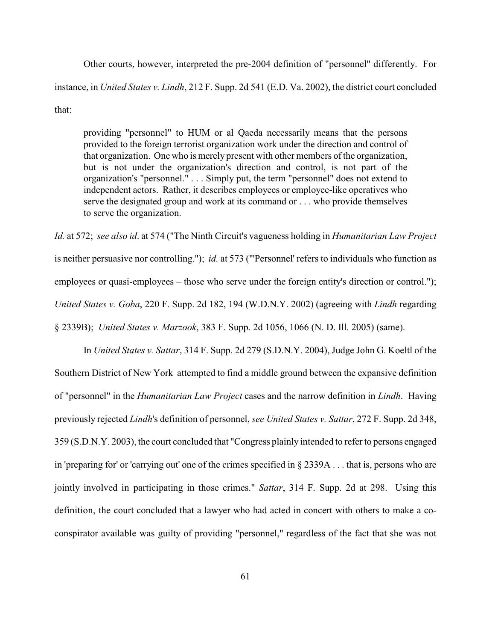Other courts, however, interpreted the pre-2004 definition of "personnel" differently. For instance, in *United States v. Lindh*, 212 F. Supp. 2d 541 (E.D. Va. 2002), the district court concluded that:

providing "personnel" to HUM or al Qaeda necessarily means that the persons provided to the foreign terrorist organization work under the direction and control of that organization. One who is merely present with other members of the organization, but is not under the organization's direction and control, is not part of the organization's "personnel." . . . Simply put, the term "personnel" does not extend to independent actors. Rather, it describes employees or employee-like operatives who serve the designated group and work at its command or . . . who provide themselves to serve the organization.

*Id.* at 572; *see also id*. at 574 ("The Ninth Circuit's vagueness holding in *Humanitarian Law Project* is neither persuasive nor controlling."); *id.* at 573 ("'Personnel' refers to individuals who function as employees or quasi-employees – those who serve under the foreign entity's direction or control."); *United States v. Goba*, 220 F. Supp. 2d 182, 194 (W.D.N.Y. 2002) (agreeing with *Lindh* regarding § 2339B); *United States v. Marzook*, 383 F. Supp. 2d 1056, 1066 (N. D. Ill. 2005) (same).

In *United States v. Sattar*, 314 F. Supp. 2d 279 (S.D.N.Y. 2004), Judge John G. Koeltl of the Southern District of New York attempted to find a middle ground between the expansive definition of "personnel" in the *Humanitarian Law Project* cases and the narrow definition in *Lindh*. Having previously rejected *Lindh*'s definition of personnel, *see United States v. Sattar*, 272 F. Supp. 2d 348, 359 (S.D.N.Y. 2003), the court concluded that "Congress plainly intended to refer to persons engaged in 'preparing for' or 'carrying out' one of the crimes specified in § 2339A . . . that is, persons who are jointly involved in participating in those crimes." *Sattar*, 314 F. Supp. 2d at 298. Using this definition, the court concluded that a lawyer who had acted in concert with others to make a coconspirator available was guilty of providing "personnel," regardless of the fact that she was not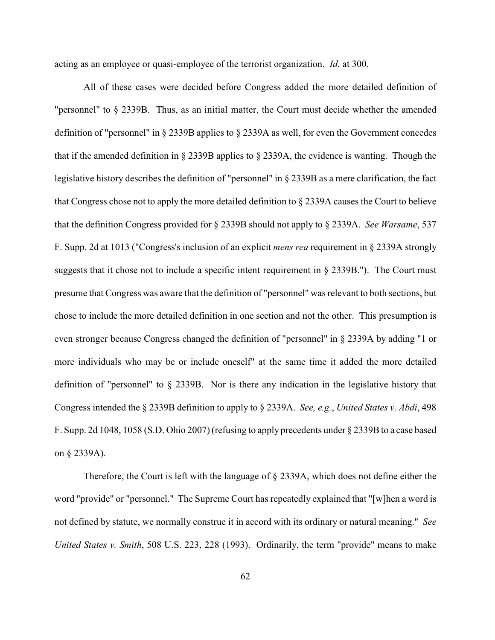acting as an employee or quasi-employee of the terrorist organization. *Id.* at 300.

All of these cases were decided before Congress added the more detailed definition of "personnel" to § 2339B. Thus, as an initial matter, the Court must decide whether the amended definition of "personnel" in § 2339B applies to § 2339A as well, for even the Government concedes that if the amended definition in § 2339B applies to § 2339A, the evidence is wanting. Though the legislative history describes the definition of "personnel" in § 2339B as a mere clarification, the fact that Congress chose not to apply the more detailed definition to § 2339A causes the Court to believe that the definition Congress provided for § 2339B should not apply to § 2339A. *See Warsame*, 537 F. Supp. 2d at 1013 ("Congress's inclusion of an explicit *mens rea* requirement in § 2339A strongly suggests that it chose not to include a specific intent requirement in § 2339B."). The Court must presume that Congress was aware that the definition of "personnel" was relevant to both sections, but chose to include the more detailed definition in one section and not the other. This presumption is even stronger because Congress changed the definition of "personnel" in § 2339A by adding "1 or more individuals who may be or include oneself" at the same time it added the more detailed definition of "personnel" to § 2339B. Nor is there any indication in the legislative history that Congress intended the § 2339B definition to apply to § 2339A. *See, e.g.*, *United States v. Abdi*, 498 F. Supp. 2d 1048, 1058 (S.D. Ohio 2007) (refusing to apply precedents under § 2339B to a case based on § 2339A).

Therefore, the Court is left with the language of § 2339A, which does not define either the word "provide" or "personnel." The Supreme Court has repeatedly explained that "[w]hen a word is not defined by statute, we normally construe it in accord with its ordinary or natural meaning." *See United States v. Smith*, 508 U.S. 223, 228 (1993). Ordinarily, the term "provide" means to make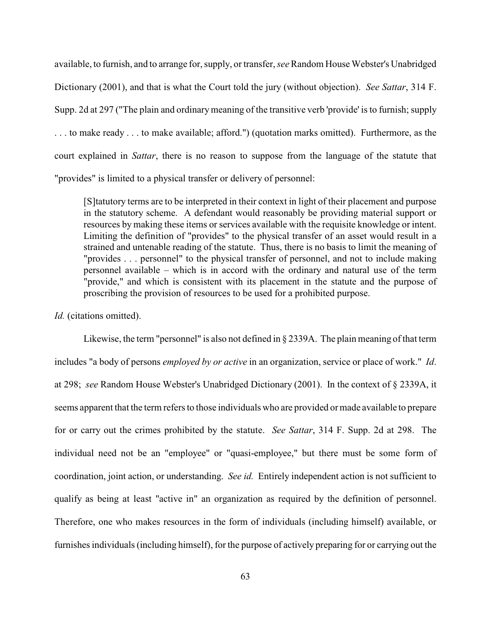available, to furnish, and to arrange for, supply, or transfer, *see* Random House Webster's Unabridged Dictionary (2001), and that is what the Court told the jury (without objection). *See Sattar*, 314 F. Supp. 2d at 297 ("The plain and ordinary meaning of the transitive verb 'provide' is to furnish; supply . . . to make ready . . . to make available; afford.") (quotation marks omitted). Furthermore, as the court explained in *Sattar*, there is no reason to suppose from the language of the statute that "provides" is limited to a physical transfer or delivery of personnel:

[S]tatutory terms are to be interpreted in their context in light of their placement and purpose in the statutory scheme. A defendant would reasonably be providing material support or resources by making these items or services available with the requisite knowledge or intent. Limiting the definition of "provides" to the physical transfer of an asset would result in a strained and untenable reading of the statute. Thus, there is no basis to limit the meaning of "provides . . . personnel" to the physical transfer of personnel, and not to include making personnel available – which is in accord with the ordinary and natural use of the term "provide," and which is consistent with its placement in the statute and the purpose of proscribing the provision of resources to be used for a prohibited purpose.

*Id.* (citations omitted).

Likewise, the term "personnel" is also not defined in  $\S 2339A$ . The plain meaning of that term includes "a body of persons *employed by or active* in an organization, service or place of work." *Id*. at 298; *see* Random House Webster's Unabridged Dictionary (2001). In the context of § 2339A, it seems apparent that the term refers to those individuals who are provided or made available to prepare for or carry out the crimes prohibited by the statute. *See Sattar*, 314 F. Supp. 2d at 298. The individual need not be an "employee" or "quasi-employee," but there must be some form of coordination, joint action, or understanding. *See id.* Entirely independent action is not sufficient to qualify as being at least "active in" an organization as required by the definition of personnel. Therefore, one who makes resources in the form of individuals (including himself) available, or furnishes individuals (including himself), for the purpose of actively preparing for or carrying out the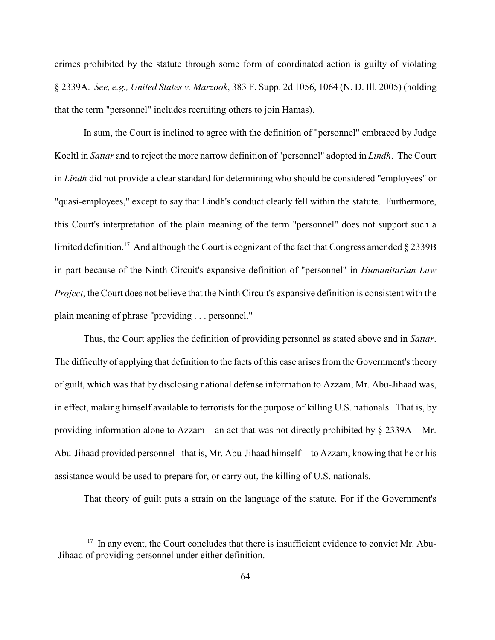crimes prohibited by the statute through some form of coordinated action is guilty of violating § 2339A. *See, e.g., United States v. Marzook*, 383 F. Supp. 2d 1056, 1064 (N. D. Ill. 2005) (holding that the term "personnel" includes recruiting others to join Hamas).

In sum, the Court is inclined to agree with the definition of "personnel" embraced by Judge Koeltl in *Sattar* and to reject the more narrow definition of "personnel" adopted in *Lindh*. The Court in *Lindh* did not provide a clear standard for determining who should be considered "employees" or "quasi-employees," except to say that Lindh's conduct clearly fell within the statute. Furthermore, this Court's interpretation of the plain meaning of the term "personnel" does not support such a limited definition.<sup>17</sup> And although the Court is cognizant of the fact that Congress amended  $\S 2339B$ in part because of the Ninth Circuit's expansive definition of "personnel" in *Humanitarian Law Project*, the Court does not believe that the Ninth Circuit's expansive definition is consistent with the plain meaning of phrase "providing . . . personnel."

Thus, the Court applies the definition of providing personnel as stated above and in *Sattar*. The difficulty of applying that definition to the facts of this case arises from the Government's theory of guilt, which was that by disclosing national defense information to Azzam, Mr. Abu-Jihaad was, in effect, making himself available to terrorists for the purpose of killing U.S. nationals. That is, by providing information alone to Azzam – an act that was not directly prohibited by  $\S 2339A - Mr.$ Abu-Jihaad provided personnel– that is, Mr. Abu-Jihaad himself – to Azzam, knowing that he or his assistance would be used to prepare for, or carry out, the killing of U.S. nationals.

That theory of guilt puts a strain on the language of the statute. For if the Government's

 $17$  In any event, the Court concludes that there is insufficient evidence to convict Mr. Abu-Jihaad of providing personnel under either definition.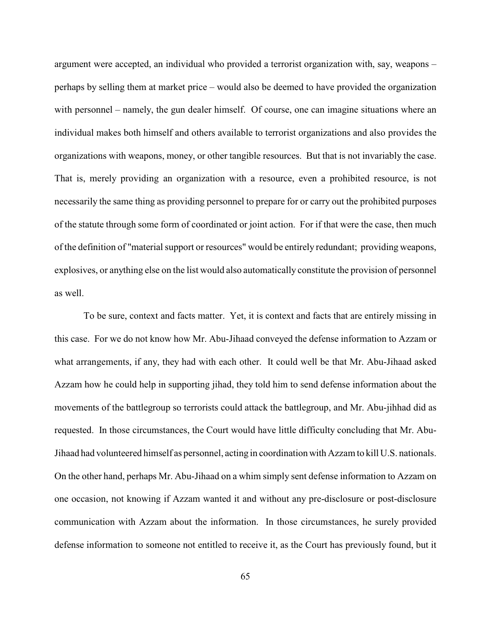argument were accepted, an individual who provided a terrorist organization with, say, weapons – perhaps by selling them at market price – would also be deemed to have provided the organization with personnel – namely, the gun dealer himself. Of course, one can imagine situations where an individual makes both himself and others available to terrorist organizations and also provides the organizations with weapons, money, or other tangible resources. But that is not invariably the case. That is, merely providing an organization with a resource, even a prohibited resource, is not necessarily the same thing as providing personnel to prepare for or carry out the prohibited purposes of the statute through some form of coordinated or joint action. For if that were the case, then much of the definition of "material support or resources" would be entirely redundant; providing weapons, explosives, or anything else on the list would also automatically constitute the provision of personnel as well.

To be sure, context and facts matter. Yet, it is context and facts that are entirely missing in this case. For we do not know how Mr. Abu-Jihaad conveyed the defense information to Azzam or what arrangements, if any, they had with each other. It could well be that Mr. Abu-Jihaad asked Azzam how he could help in supporting jihad, they told him to send defense information about the movements of the battlegroup so terrorists could attack the battlegroup, and Mr. Abu-jihhad did as requested. In those circumstances, the Court would have little difficulty concluding that Mr. Abu-Jihaad had volunteered himself as personnel, acting in coordination with Azzam to kill U.S. nationals. On the other hand, perhaps Mr. Abu-Jihaad on a whim simply sent defense information to Azzam on one occasion, not knowing if Azzam wanted it and without any pre-disclosure or post-disclosure communication with Azzam about the information. In those circumstances, he surely provided defense information to someone not entitled to receive it, as the Court has previously found, but it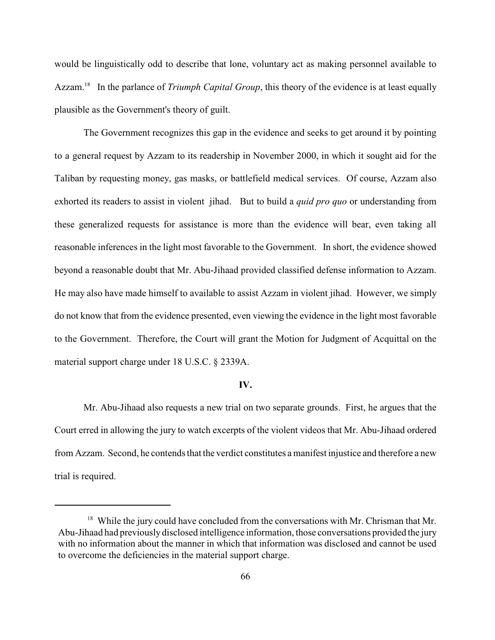would be linguistically odd to describe that lone, voluntary act as making personnel available to Azzam.<sup>18</sup> In the parlance of *Triumph Capital Group*, this theory of the evidence is at least equally plausible as the Government's theory of guilt.

The Government recognizes this gap in the evidence and seeks to get around it by pointing to a general request by Azzam to its readership in November 2000, in which it sought aid for the Taliban by requesting money, gas masks, or battlefield medical services. Of course, Azzam also exhorted its readers to assist in violent jihad. But to build a *quid pro quo* or understanding from these generalized requests for assistance is more than the evidence will bear, even taking all reasonable inferences in the light most favorable to the Government. In short, the evidence showed beyond a reasonable doubt that Mr. Abu-Jihaad provided classified defense information to Azzam. He may also have made himself to available to assist Azzam in violent jihad. However, we simply do not know that from the evidence presented, even viewing the evidence in the light most favorable to the Government. Therefore, the Court will grant the Motion for Judgment of Acquittal on the material support charge under 18 U.S.C. § 2339A.

#### **IV.**

Mr. Abu-Jihaad also requests a new trial on two separate grounds. First, he argues that the Court erred in allowing the jury to watch excerpts of the violent videos that Mr. Abu-Jihaad ordered from Azzam. Second, he contends that the verdict constitutes a manifest injustice and therefore a new trial is required.

 $18$  While the jury could have concluded from the conversations with Mr. Chrisman that Mr. Abu-Jihaad had previously disclosed intelligence information, those conversations provided the jury with no information about the manner in which that information was disclosed and cannot be used to overcome the deficiencies in the material support charge.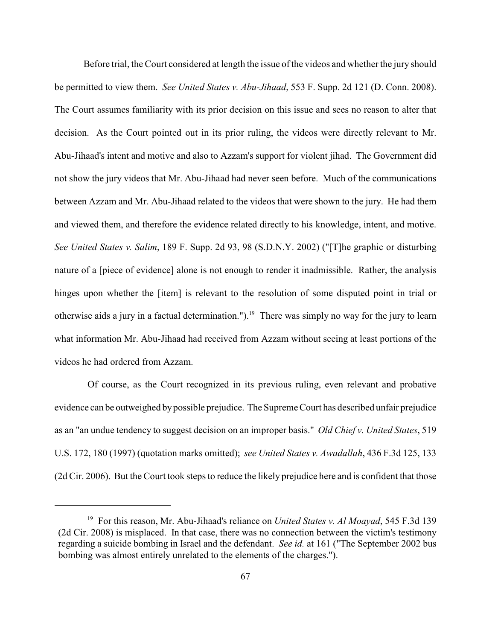Before trial, the Court considered at length the issue of the videos and whether the jury should be permitted to view them. *See United States v. Abu-Jihaad*, 553 F. Supp. 2d 121 (D. Conn. 2008). The Court assumes familiarity with its prior decision on this issue and sees no reason to alter that decision. As the Court pointed out in its prior ruling, the videos were directly relevant to Mr. Abu-Jihaad's intent and motive and also to Azzam's support for violent jihad. The Government did not show the jury videos that Mr. Abu-Jihaad had never seen before. Much of the communications between Azzam and Mr. Abu-Jihaad related to the videos that were shown to the jury. He had them and viewed them, and therefore the evidence related directly to his knowledge, intent, and motive. *See United States v. Salim*, 189 F. Supp. 2d 93, 98 (S.D.N.Y. 2002) ("[T]he graphic or disturbing nature of a [piece of evidence] alone is not enough to render it inadmissible. Rather, the analysis hinges upon whether the [item] is relevant to the resolution of some disputed point in trial or otherwise aids a jury in a factual determination.").<sup>19</sup> There was simply no way for the jury to learn what information Mr. Abu-Jihaad had received from Azzam without seeing at least portions of the videos he had ordered from Azzam.

 Of course, as the Court recognized in its previous ruling, even relevant and probative evidence can be outweighed by possible prejudice. The Supreme Court has described unfair prejudice as an "an undue tendency to suggest decision on an improper basis." *Old Chief v. United States*, 519 U.S. 172, 180 (1997) (quotation marks omitted); *see United States v. Awadallah*, 436 F.3d 125, 133 (2d Cir. 2006). But the Court took steps to reduce the likely prejudice here and is confident that those

<sup>&</sup>lt;sup>19</sup> For this reason, Mr. Abu-Jihaad's reliance on *United States v. Al Moayad*, 545 F.3d 139 (2d Cir. 2008) is misplaced. In that case, there was no connection between the victim's testimony regarding a suicide bombing in Israel and the defendant. *See id.* at 161 ("The September 2002 bus bombing was almost entirely unrelated to the elements of the charges.").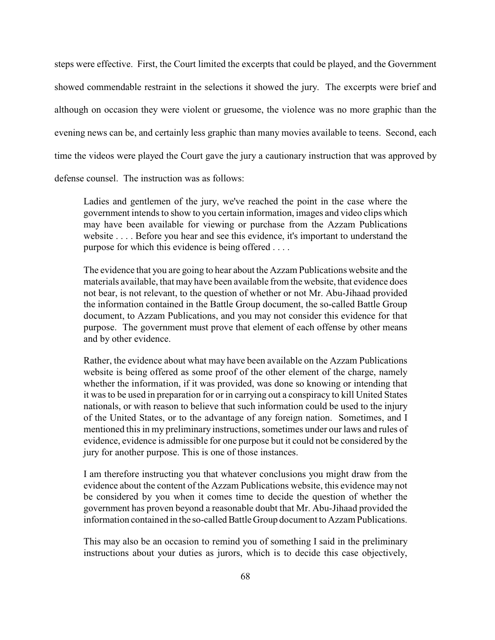steps were effective. First, the Court limited the excerpts that could be played, and the Government showed commendable restraint in the selections it showed the jury. The excerpts were brief and although on occasion they were violent or gruesome, the violence was no more graphic than the evening news can be, and certainly less graphic than many movies available to teens. Second, each time the videos were played the Court gave the jury a cautionary instruction that was approved by

defense counsel. The instruction was as follows:

Ladies and gentlemen of the jury, we've reached the point in the case where the government intends to show to you certain information, images and video clips which may have been available for viewing or purchase from the Azzam Publications website . . . . Before you hear and see this evidence, it's important to understand the purpose for which this evidence is being offered . . . .

The evidence that you are going to hear about the Azzam Publications website and the materials available, that may have been available from the website, that evidence does not bear, is not relevant, to the question of whether or not Mr. Abu-Jihaad provided the information contained in the Battle Group document, the so-called Battle Group document, to Azzam Publications, and you may not consider this evidence for that purpose. The government must prove that element of each offense by other means and by other evidence.

Rather, the evidence about what may have been available on the Azzam Publications website is being offered as some proof of the other element of the charge, namely whether the information, if it was provided, was done so knowing or intending that it was to be used in preparation for or in carrying out a conspiracy to kill United States nationals, or with reason to believe that such information could be used to the injury of the United States, or to the advantage of any foreign nation. Sometimes, and I mentioned this in my preliminary instructions, sometimes under our laws and rules of evidence, evidence is admissible for one purpose but it could not be considered by the jury for another purpose. This is one of those instances.

I am therefore instructing you that whatever conclusions you might draw from the evidence about the content of the Azzam Publications website, this evidence may not be considered by you when it comes time to decide the question of whether the government has proven beyond a reasonable doubt that Mr. Abu-Jihaad provided the information contained in the so-called Battle Group document to Azzam Publications.

This may also be an occasion to remind you of something I said in the preliminary instructions about your duties as jurors, which is to decide this case objectively,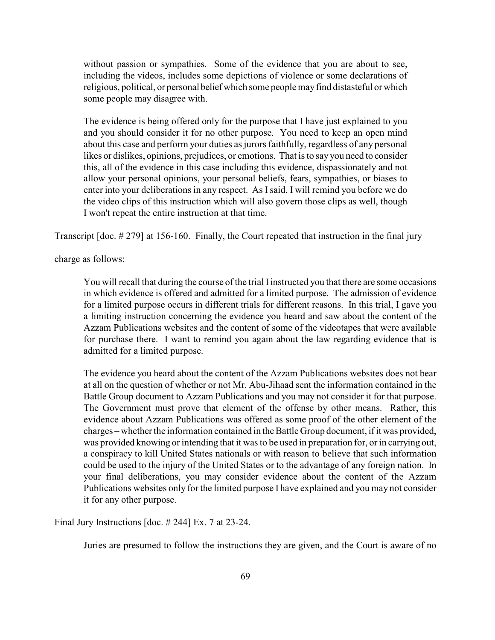without passion or sympathies. Some of the evidence that you are about to see, including the videos, includes some depictions of violence or some declarations of religious, political, or personal belief which some people may find distasteful or which some people may disagree with.

The evidence is being offered only for the purpose that I have just explained to you and you should consider it for no other purpose. You need to keep an open mind about this case and perform your duties as jurors faithfully, regardless of any personal likes or dislikes, opinions, prejudices, or emotions. That is to say you need to consider this, all of the evidence in this case including this evidence, dispassionately and not allow your personal opinions, your personal beliefs, fears, sympathies, or biases to enter into your deliberations in any respect. As Isaid, I will remind you before we do the video clips of this instruction which will also govern those clips as well, though I won't repeat the entire instruction at that time.

Transcript [doc. # 279] at 156-160. Finally, the Court repeated that instruction in the final jury

charge as follows:

You will recall that during the course of the trial I instructed you that there are some occasions in which evidence is offered and admitted for a limited purpose. The admission of evidence for a limited purpose occurs in different trials for different reasons. In this trial, I gave you a limiting instruction concerning the evidence you heard and saw about the content of the Azzam Publications websites and the content of some of the videotapes that were available for purchase there. I want to remind you again about the law regarding evidence that is admitted for a limited purpose.

The evidence you heard about the content of the Azzam Publications websites does not bear at all on the question of whether or not Mr. Abu-Jihaad sent the information contained in the Battle Group document to Azzam Publications and you may not consider it for that purpose. The Government must prove that element of the offense by other means. Rather, this evidence about Azzam Publications was offered as some proof of the other element of the charges – whether the information contained in the Battle Group document, if it was provided, was provided knowing or intending that it was to be used in preparation for, or in carrying out, a conspiracy to kill United States nationals or with reason to believe that such information could be used to the injury of the United States or to the advantage of any foreign nation. In your final deliberations, you may consider evidence about the content of the Azzam Publications websites only for the limited purpose I have explained and you may not consider it for any other purpose.

Final Jury Instructions [doc. # 244] Ex. 7 at 23-24.

Juries are presumed to follow the instructions they are given, and the Court is aware of no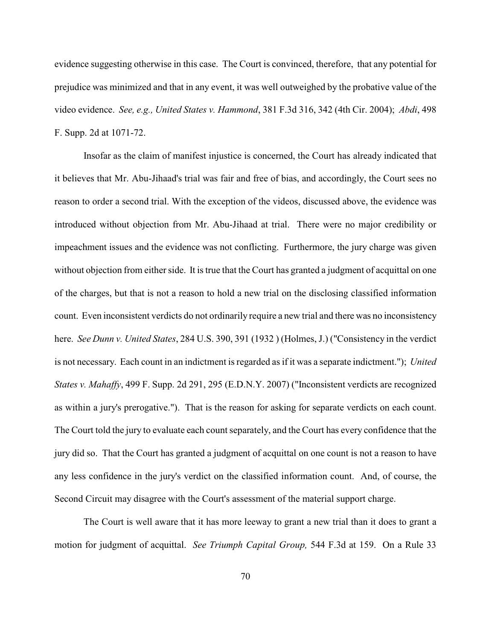evidence suggesting otherwise in this case. The Court is convinced, therefore, that any potential for prejudice was minimized and that in any event, it was well outweighed by the probative value of the video evidence. *See, e.g., United States v. Hammond*, 381 F.3d 316, 342 (4th Cir. 2004); *Abdi*, 498 F. Supp. 2d at 1071-72.

Insofar as the claim of manifest injustice is concerned, the Court has already indicated that it believes that Mr. Abu-Jihaad's trial was fair and free of bias, and accordingly, the Court sees no reason to order a second trial. With the exception of the videos, discussed above, the evidence was introduced without objection from Mr. Abu-Jihaad at trial. There were no major credibility or impeachment issues and the evidence was not conflicting. Furthermore, the jury charge was given without objection from either side. It is true that the Court has granted a judgment of acquittal on one of the charges, but that is not a reason to hold a new trial on the disclosing classified information count. Even inconsistent verdicts do not ordinarily require a new trial and there was no inconsistency here. *See Dunn v. United States*, 284 U.S. 390, 391 (1932 ) (Holmes, J.) ("Consistency in the verdict is not necessary. Each count in an indictment is regarded as if it was a separate indictment."); *United States v. Mahaffy*, 499 F. Supp. 2d 291, 295 (E.D.N.Y. 2007) ("Inconsistent verdicts are recognized as within a jury's prerogative."). That is the reason for asking for separate verdicts on each count. The Court told the jury to evaluate each count separately, and the Court has every confidence that the jury did so. That the Court has granted a judgment of acquittal on one count is not a reason to have any less confidence in the jury's verdict on the classified information count. And, of course, the Second Circuit may disagree with the Court's assessment of the material support charge.

The Court is well aware that it has more leeway to grant a new trial than it does to grant a motion for judgment of acquittal. *See Triumph Capital Group,* 544 F.3d at 159. On a Rule 33